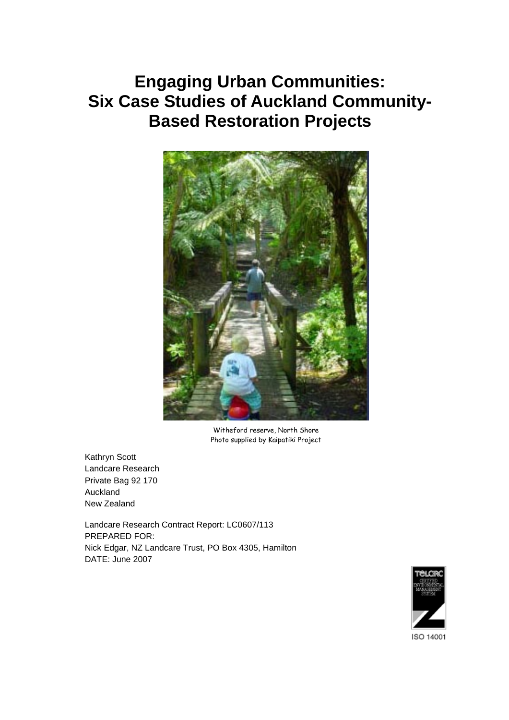# **Engaging Urban Communities: Six Case Studies of Auckland Community-Based Restoration Projects**



Witheford reserve, North Shore Photo supplied by Kaipatiki Project

Kathryn Scott Landcare Research Private Bag 92 170 Auckland New Zealand

Landcare Research Contract Report: LC0607/113 PREPARED FOR: Nick Edgar, NZ Landcare Trust, PO Box 4305, Hamilton DATE: June 2007

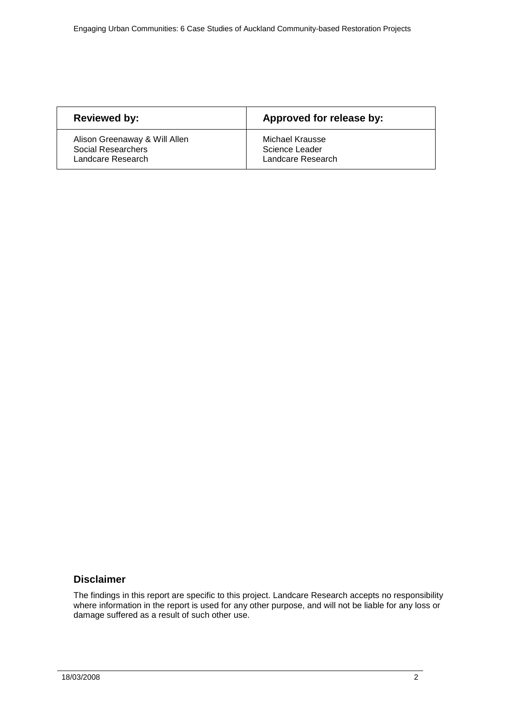| <b>Reviewed by:</b>           | Approved for release by: |
|-------------------------------|--------------------------|
| Alison Greenaway & Will Allen | Michael Krausse          |
| Social Researchers            | Science Leader           |
| Landcare Research             | Landcare Research        |

## **Disclaimer**

The findings in this report are specific to this project. Landcare Research accepts no responsibility where information in the report is used for any other purpose, and will not be liable for any loss or damage suffered as a result of such other use.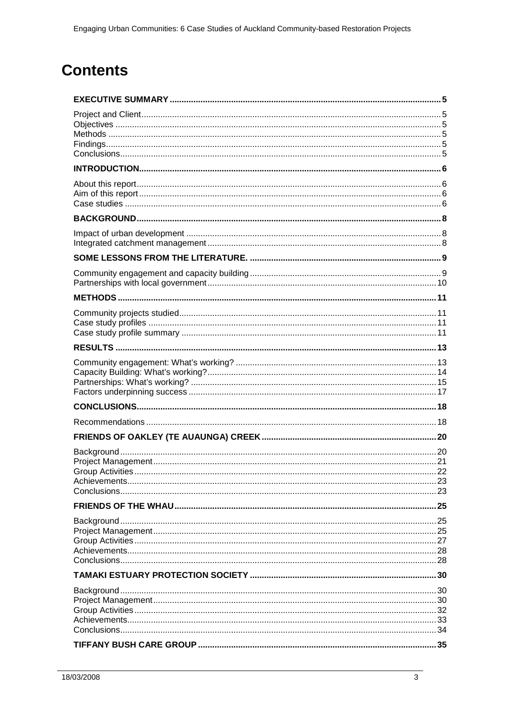# **Contents**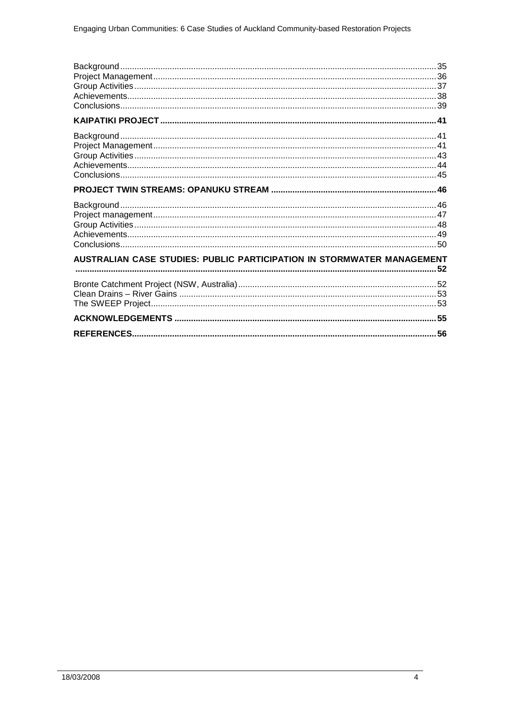| AUSTRALIAN CASE STUDIES: PUBLIC PARTICIPATION IN STORMWATER MANAGEMENT |  |
|------------------------------------------------------------------------|--|
|                                                                        |  |
|                                                                        |  |
|                                                                        |  |
|                                                                        |  |
|                                                                        |  |
|                                                                        |  |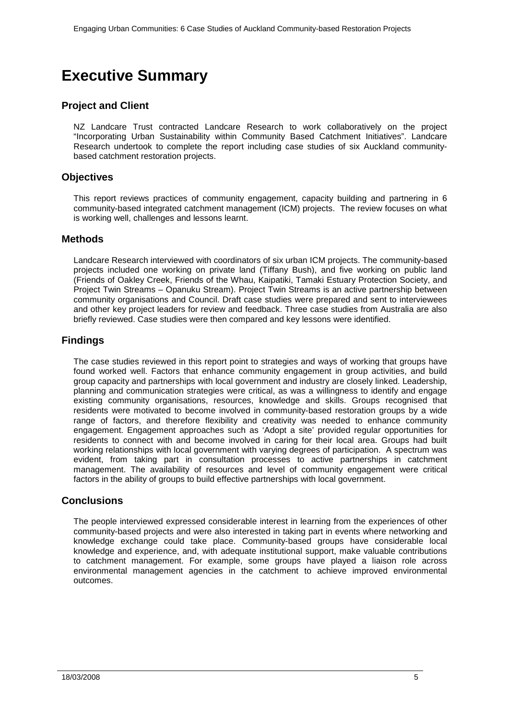# <span id="page-4-0"></span>**Executive Summary**

# <span id="page-4-1"></span>**Project and Client**

NZ Landcare Trust contracted Landcare Research to work collaboratively on the project "Incorporating Urban Sustainability within Community Based Catchment Initiatives". Landcare Research undertook to complete the report including case studies of six Auckland communitybased catchment restoration projects.

## <span id="page-4-2"></span>**Objectives**

This report reviews practices of community engagement, capacity building and partnering in 6 community-based integrated catchment management (ICM) projects. The review focuses on what is working well, challenges and lessons learnt.

### <span id="page-4-3"></span>**Methods**

Landcare Research interviewed with coordinators of six urban ICM projects. The community-based projects included one working on private land (Tiffany Bush), and five working on public land (Friends of Oakley Creek, Friends of the Whau, Kaipatiki, Tamaki Estuary Protection Society, and Project Twin Streams – Opanuku Stream). Project Twin Streams is an active partnership between community organisations and Council. Draft case studies were prepared and sent to interviewees and other key project leaders for review and feedback. Three case studies from Australia are also briefly reviewed. Case studies were then compared and key lessons were identified.

## <span id="page-4-4"></span>**Findings**

The case studies reviewed in this report point to strategies and ways of working that groups have found worked well. Factors that enhance community engagement in group activities, and build group capacity and partnerships with local government and industry are closely linked. Leadership, planning and communication strategies were critical, as was a willingness to identify and engage existing community organisations, resources, knowledge and skills. Groups recognised that residents were motivated to become involved in community-based restoration groups by a wide range of factors, and therefore flexibility and creativity was needed to enhance community engagement. Engagement approaches such as 'Adopt a site' provided regular opportunities for residents to connect with and become involved in caring for their local area. Groups had built working relationships with local government with varying degrees of participation. A spectrum was evident, from taking part in consultation processes to active partnerships in catchment management. The availability of resources and level of community engagement were critical factors in the ability of groups to build effective partnerships with local government.

## <span id="page-4-5"></span>**Conclusions**

The people interviewed expressed considerable interest in learning from the experiences of other community-based projects and were also interested in taking part in events where networking and knowledge exchange could take place. Community-based groups have considerable local knowledge and experience, and, with adequate institutional support, make valuable contributions to catchment management. For example, some groups have played a liaison role across environmental management agencies in the catchment to achieve improved environmental outcomes.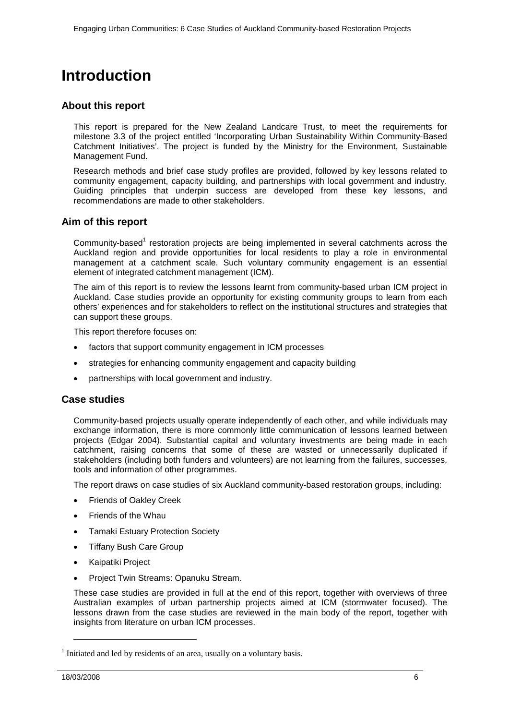# <span id="page-5-0"></span>**Introduction**

### <span id="page-5-1"></span>**About this report**

This report is prepared for the New Zealand Landcare Trust, to meet the requirements for milestone 3.3 of the project entitled 'Incorporating Urban Sustainability Within Community-Based Catchment Initiatives'. The project is funded by the Ministry for the Environment, Sustainable Management Fund.

Research methods and brief case study profiles are provided, followed by key lessons related to community engagement, capacity building, and partnerships with local government and industry. Guiding principles that underpin success are developed from these key lessons, and recommendations are made to other stakeholders.

### <span id="page-5-2"></span>**Aim of this report**

Community-based<sup>1</sup> restoration projects are being implemented in several catchments across the Auckland region and provide opportunities for local residents to play a role in environmental management at a catchment scale. Such voluntary community engagement is an essential element of integrated catchment management (ICM).

The aim of this report is to review the lessons learnt from community-based urban ICM project in Auckland. Case studies provide an opportunity for existing community groups to learn from each others' experiences and for stakeholders to reflect on the institutional structures and strategies that can support these groups.

This report therefore focuses on:

- factors that support community engagement in ICM processes
- strategies for enhancing community engagement and capacity building
- partnerships with local government and industry.

### <span id="page-5-3"></span>**Case studies**

Community-based projects usually operate independently of each other, and while individuals may exchange information, there is more commonly little communication of lessons learned between projects (Edgar 2004). Substantial capital and voluntary investments are being made in each catchment, raising concerns that some of these are wasted or unnecessarily duplicated if stakeholders (including both funders and volunteers) are not learning from the failures, successes, tools and information of other programmes.

The report draws on case studies of six Auckland community-based restoration groups, including:

- Friends of Oakley Creek
- Friends of the Whau
- Tamaki Estuary Protection Society
- Tiffany Bush Care Group
- Kaipatiki Project
- Project Twin Streams: Opanuku Stream.

These case studies are provided in full at the end of this report, together with overviews of three Australian examples of urban partnership projects aimed at ICM (stormwater focused). The lessons drawn from the case studies are reviewed in the main body of the report, together with insights from literature on urban ICM processes.

j

 $1$  Initiated and led by residents of an area, usually on a voluntary basis.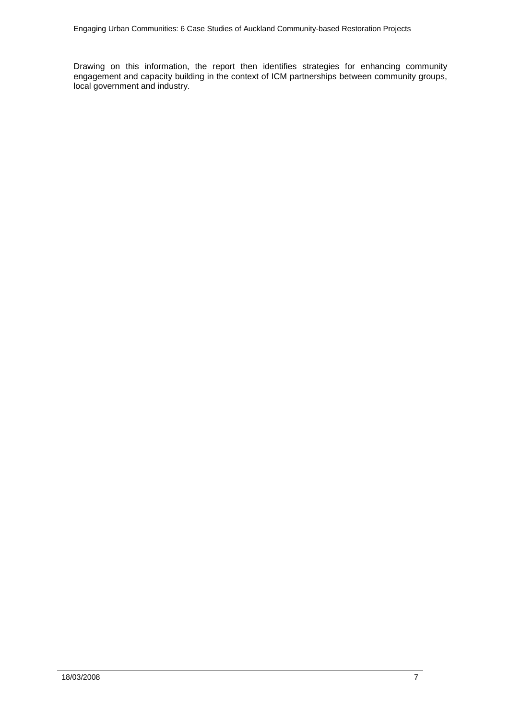Drawing on this information, the report then identifies strategies for enhancing community engagement and capacity building in the context of ICM partnerships between community groups, local government and industry.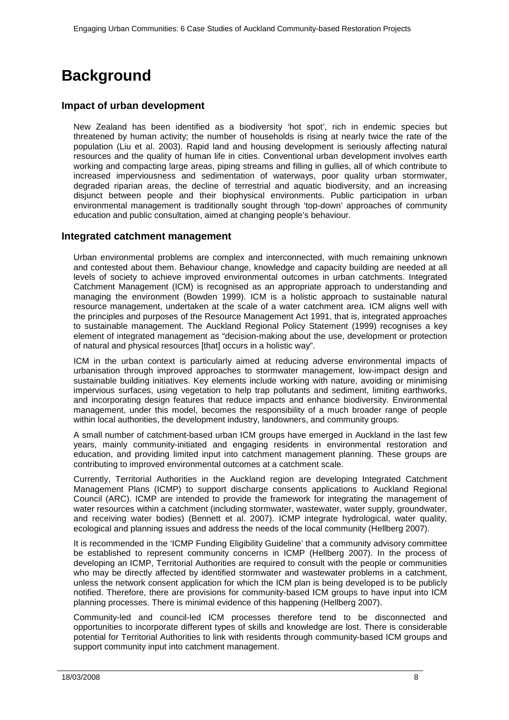# <span id="page-7-0"></span>**Background**

# <span id="page-7-1"></span>**Impact of urban development**

New Zealand has been identified as a biodiversity 'hot spot', rich in endemic species but threatened by human activity; the number of households is rising at nearly twice the rate of the population (Liu et al. 2003). Rapid land and housing development is seriously affecting natural resources and the quality of human life in cities. Conventional urban development involves earth working and compacting large areas, piping streams and filling in gullies, all of which contribute to increased imperviousness and sedimentation of waterways, poor quality urban stormwater, degraded riparian areas, the decline of terrestrial and aquatic biodiversity, and an increasing disjunct between people and their biophysical environments. Public participation in urban environmental management is traditionally sought through 'top-down' approaches of community education and public consultation, aimed at changing people's behaviour.

## <span id="page-7-2"></span>**Integrated catchment management**

Urban environmental problems are complex and interconnected, with much remaining unknown and contested about them. Behaviour change, knowledge and capacity building are needed at all levels of society to achieve improved environmental outcomes in urban catchments. Integrated Catchment Management (ICM) is recognised as an appropriate approach to understanding and managing the environment (Bowden 1999). ICM is a holistic approach to sustainable natural resource management, undertaken at the scale of a water catchment area. ICM aligns well with the principles and purposes of the Resource Management Act 1991, that is, integrated approaches to sustainable management. The Auckland Regional Policy Statement (1999) recognises a key element of integrated management as "decision-making about the use, development or protection of natural and physical resources [that] occurs in a holistic way".

ICM in the urban context is particularly aimed at reducing adverse environmental impacts of urbanisation through improved approaches to stormwater management, low-impact design and sustainable building initiatives. Key elements include working with nature, avoiding or minimising impervious surfaces, using vegetation to help trap pollutants and sediment, limiting earthworks, and incorporating design features that reduce impacts and enhance biodiversity. Environmental management, under this model, becomes the responsibility of a much broader range of people within local authorities, the development industry, landowners, and community groups.

A small number of catchment-based urban ICM groups have emerged in Auckland in the last few years, mainly community-initiated and engaging residents in environmental restoration and education, and providing limited input into catchment management planning. These groups are contributing to improved environmental outcomes at a catchment scale.

Currently, Territorial Authorities in the Auckland region are developing Integrated Catchment Management Plans (ICMP) to support discharge consents applications to Auckland Regional Council (ARC). ICMP are intended to provide the framework for integrating the management of water resources within a catchment (including stormwater, wastewater, water supply, groundwater, and receiving water bodies) (Bennett et al. 2007). ICMP integrate hydrological, water quality, ecological and planning issues and address the needs of the local community (Hellberg 2007).

It is recommended in the 'ICMP Funding Eligibility Guideline' that a community advisory committee be established to represent community concerns in ICMP (Hellberg 2007). In the process of developing an ICMP, Territorial Authorities are required to consult with the people or communities who may be directly affected by identified stormwater and wastewater problems in a catchment, unless the network consent application for which the ICM plan is being developed is to be publicly notified. Therefore, there are provisions for community-based ICM groups to have input into ICM planning processes. There is minimal evidence of this happening (Hellberg 2007).

Community-led and council-led ICM processes therefore tend to be disconnected and opportunities to incorporate different types of skills and knowledge are lost. There is considerable potential for Territorial Authorities to link with residents through community-based ICM groups and support community input into catchment management.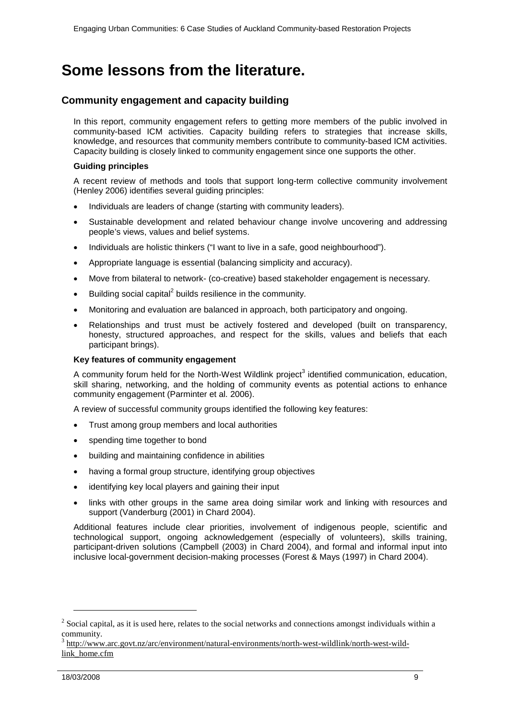# <span id="page-8-0"></span>**Some lessons from the literature.**

# <span id="page-8-1"></span>**Community engagement and capacity building**

In this report, community engagement refers to getting more members of the public involved in community-based ICM activities. Capacity building refers to strategies that increase skills, knowledge, and resources that community members contribute to community-based ICM activities. Capacity building is closely linked to community engagement since one supports the other.

### **Guiding principles**

A recent review of methods and tools that support long-term collective community involvement (Henley 2006) identifies several guiding principles:

- Individuals are leaders of change (starting with community leaders).
- Sustainable development and related behaviour change involve uncovering and addressing people's views, values and belief systems.
- Individuals are holistic thinkers ("I want to live in a safe, good neighbourhood").
- Appropriate language is essential (balancing simplicity and accuracy).
- Move from bilateral to network- (co-creative) based stakeholder engagement is necessary.
- Building social capital $^2$  builds resilience in the community.
- Monitoring and evaluation are balanced in approach, both participatory and ongoing.
- Relationships and trust must be actively fostered and developed (built on transparency, honesty, structured approaches, and respect for the skills, values and beliefs that each participant brings).

### **Key features of community engagement**

A community forum held for the North-West Wildlink project<sup>3</sup> identified communication, education, skill sharing, networking, and the holding of community events as potential actions to enhance community engagement (Parminter et al. 2006).

A review of successful community groups identified the following key features:

- Trust among group members and local authorities
- spending time together to bond
- building and maintaining confidence in abilities
- having a formal group structure, identifying group objectives
- identifying key local players and gaining their input
- links with other groups in the same area doing similar work and linking with resources and support (Vanderburg (2001) in Chard 2004).

Additional features include clear priorities, involvement of indigenous people, scientific and technological support, ongoing acknowledgement (especially of volunteers), skills training, participant-driven solutions (Campbell (2003) in Chard 2004), and formal and informal input into inclusive local-government decision-making processes (Forest & Mays (1997) in Chard 2004).

-

 $2$  Social capital, as it is used here, relates to the social networks and connections amongst individuals within a community.

<sup>3</sup> http://www.arc.govt.nz/arc/environment/natural-environments/north-west-wildlink/north-west-wildlink\_home.cfm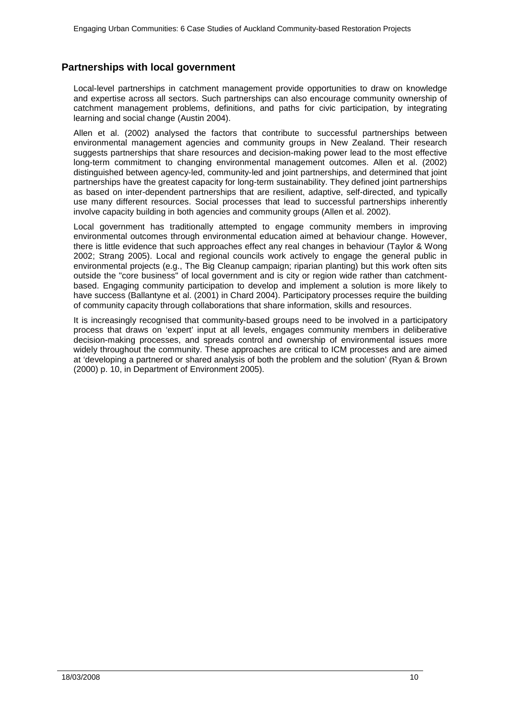# <span id="page-9-0"></span>**Partnerships with local government**

Local-level partnerships in catchment management provide opportunities to draw on knowledge and expertise across all sectors. Such partnerships can also encourage community ownership of catchment management problems, definitions, and paths for civic participation, by integrating learning and social change (Austin 2004).

Allen et al. (2002) analysed the factors that contribute to successful partnerships between environmental management agencies and community groups in New Zealand. Their research suggests partnerships that share resources and decision-making power lead to the most effective long-term commitment to changing environmental management outcomes. Allen et al. (2002) distinguished between agency-led, community-led and joint partnerships, and determined that joint partnerships have the greatest capacity for long-term sustainability. They defined joint partnerships as based on inter-dependent partnerships that are resilient, adaptive, self-directed, and typically use many different resources. Social processes that lead to successful partnerships inherently involve capacity building in both agencies and community groups (Allen et al. 2002).

Local government has traditionally attempted to engage community members in improving environmental outcomes through environmental education aimed at behaviour change. However, there is little evidence that such approaches effect any real changes in behaviour (Taylor & Wong 2002; Strang 2005). Local and regional councils work actively to engage the general public in environmental projects (e.g., The Big Cleanup campaign; riparian planting) but this work often sits outside the "core business" of local government and is city or region wide rather than catchmentbased. Engaging community participation to develop and implement a solution is more likely to have success (Ballantyne et al. (2001) in Chard 2004). Participatory processes require the building of community capacity through collaborations that share information, skills and resources.

It is increasingly recognised that community-based groups need to be involved in a participatory process that draws on 'expert' input at all levels, engages community members in deliberative decision-making processes, and spreads control and ownership of environmental issues more widely throughout the community. These approaches are critical to ICM processes and are aimed at 'developing a partnered or shared analysis of both the problem and the solution' (Ryan & Brown (2000) p. 10, in Department of Environment 2005).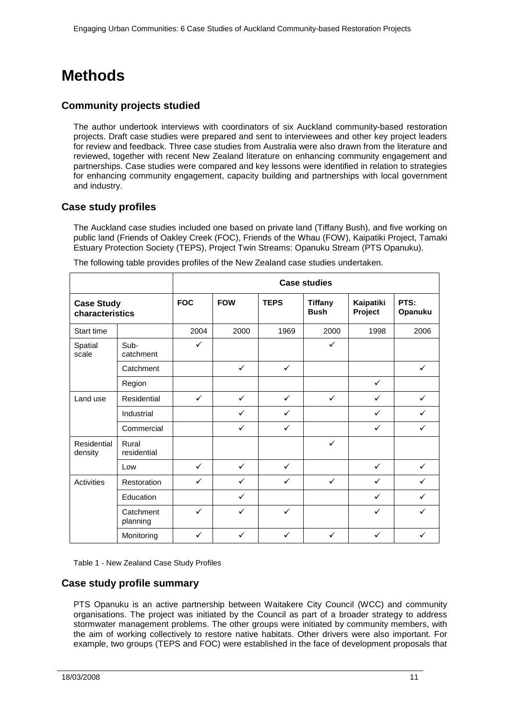# <span id="page-10-0"></span>**Methods**

# <span id="page-10-1"></span>**Community projects studied**

The author undertook interviews with coordinators of six Auckland community-based restoration projects. Draft case studies were prepared and sent to interviewees and other key project leaders for review and feedback. Three case studies from Australia were also drawn from the literature and reviewed, together with recent New Zealand literature on enhancing community engagement and partnerships. Case studies were compared and key lessons were identified in relation to strategies for enhancing community engagement, capacity building and partnerships with local government and industry.

## <span id="page-10-2"></span>**Case study profiles**

The Auckland case studies included one based on private land (Tiffany Bush), and five working on public land (Friends of Oakley Creek (FOC), Friends of the Whau (FOW), Kaipatiki Project, Tamaki Estuary Protection Society (TEPS), Project Twin Streams: Opanuku Stream (PTS Opanuku).

|                                      |                       | <b>Case studies</b> |              |              |                               |                      |                 |
|--------------------------------------|-----------------------|---------------------|--------------|--------------|-------------------------------|----------------------|-----------------|
| <b>Case Study</b><br>characteristics |                       | <b>FOC</b>          | <b>FOW</b>   | <b>TEPS</b>  | <b>Tiffany</b><br><b>Bush</b> | Kaipatiki<br>Project | PTS:<br>Opanuku |
| Start time                           |                       | 2004                | 2000         | 1969         | 2000                          | 1998                 | 2006            |
| Spatial<br>scale                     | Sub-<br>catchment     | $\checkmark$        |              |              | ✓                             |                      |                 |
|                                      | Catchment             |                     | $\checkmark$ | $\checkmark$ |                               |                      | $\checkmark$    |
|                                      | Region                |                     |              |              |                               | $\checkmark$         |                 |
| Land use                             | Residential           | $\checkmark$        | $\checkmark$ | $\checkmark$ | $\checkmark$                  | $\checkmark$         | $\checkmark$    |
|                                      | Industrial            |                     | $\checkmark$ | $\checkmark$ |                               | ✓                    | $\checkmark$    |
|                                      | Commercial            |                     | $\checkmark$ | $\checkmark$ |                               | $\checkmark$         | ✓               |
| Residential<br>density               | Rural<br>residential  |                     |              |              | ✓                             |                      |                 |
|                                      | Low                   | $\checkmark$        | $\checkmark$ | $\checkmark$ |                               | $\checkmark$         | $\checkmark$    |
| Activities                           | Restoration           | $\checkmark$        | $\checkmark$ | $\checkmark$ | $\checkmark$                  | $\checkmark$         | $\checkmark$    |
|                                      | Education             |                     | $\checkmark$ |              |                               | ✓                    | $\checkmark$    |
|                                      | Catchment<br>planning | $\checkmark$        | ✓            | $\checkmark$ |                               | $\checkmark$         | ✓               |
|                                      | Monitoring            | $\checkmark$        | $\checkmark$ | $\checkmark$ | ✓                             | $\checkmark$         | ✓               |

The following table provides profiles of the New Zealand case studies undertaken.

Table 1 - New Zealand Case Study Profiles

### <span id="page-10-3"></span>**Case study profile summary**

PTS Opanuku is an active partnership between Waitakere City Council (WCC) and community organisations. The project was initiated by the Council as part of a broader strategy to address stormwater management problems. The other groups were initiated by community members, with the aim of working collectively to restore native habitats. Other drivers were also important. For example, two groups (TEPS and FOC) were established in the face of development proposals that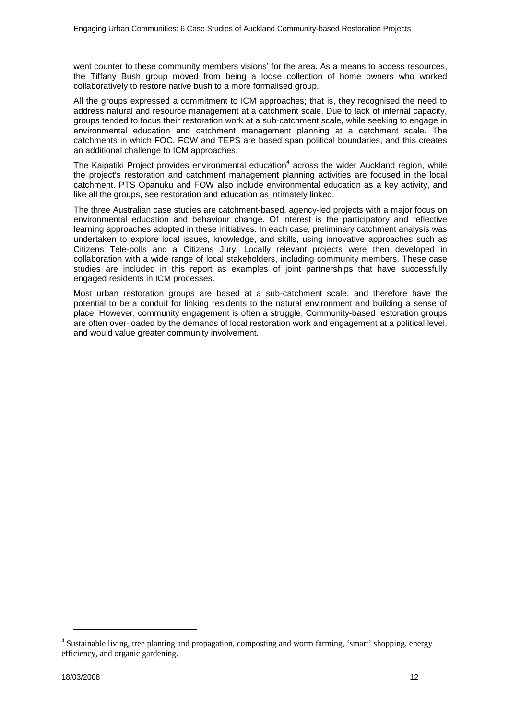went counter to these community members visions' for the area. As a means to access resources, the Tiffany Bush group moved from being a loose collection of home owners who worked collaboratively to restore native bush to a more formalised group.

All the groups expressed a commitment to ICM approaches; that is, they recognised the need to address natural and resource management at a catchment scale. Due to lack of internal capacity, groups tended to focus their restoration work at a sub-catchment scale, while seeking to engage in environmental education and catchment management planning at a catchment scale. The catchments in which FOC, FOW and TEPS are based span political boundaries, and this creates an additional challenge to ICM approaches.

The Kaipatiki Project provides environmental education<sup>4</sup> across the wider Auckland region, while the project's restoration and catchment management planning activities are focused in the local catchment. PTS Opanuku and FOW also include environmental education as a key activity, and like all the groups, see restoration and education as intimately linked.

The three Australian case studies are catchment-based, agency-led projects with a major focus on environmental education and behaviour change. Of interest is the participatory and reflective learning approaches adopted in these initiatives. In each case, preliminary catchment analysis was undertaken to explore local issues, knowledge, and skills, using innovative approaches such as Citizens Tele-polls and a Citizens Jury. Locally relevant projects were then developed in collaboration with a wide range of local stakeholders, including community members. These case studies are included in this report as examples of joint partnerships that have successfully engaged residents in ICM processes.

Most urban restoration groups are based at a sub-catchment scale, and therefore have the potential to be a conduit for linking residents to the natural environment and building a sense of place. However, community engagement is often a struggle. Community-based restoration groups are often over-loaded by the demands of local restoration work and engagement at a political level, and would value greater community involvement.

-

<sup>&</sup>lt;sup>4</sup> Sustainable living, tree planting and propagation, composting and worm farming, 'smart' shopping, energy efficiency, and organic gardening.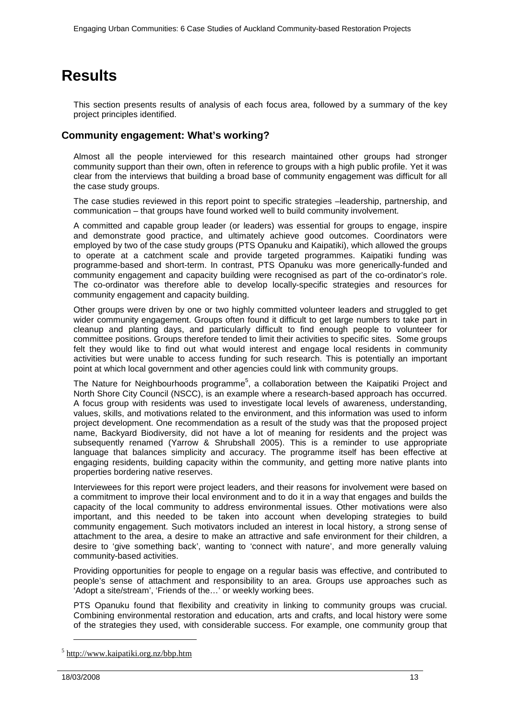# <span id="page-12-0"></span>**Results**

This section presents results of analysis of each focus area, followed by a summary of the key project principles identified.

# <span id="page-12-1"></span>**Community engagement: What's working?**

Almost all the people interviewed for this research maintained other groups had stronger community support than their own, often in reference to groups with a high public profile. Yet it was clear from the interviews that building a broad base of community engagement was difficult for all the case study groups.

The case studies reviewed in this report point to specific strategies –leadership, partnership, and communication – that groups have found worked well to build community involvement.

A committed and capable group leader (or leaders) was essential for groups to engage, inspire and demonstrate good practice, and ultimately achieve good outcomes. Coordinators were employed by two of the case study groups (PTS Opanuku and Kaipatiki), which allowed the groups to operate at a catchment scale and provide targeted programmes. Kaipatiki funding was programme-based and short-term. In contrast, PTS Opanuku was more generically-funded and community engagement and capacity building were recognised as part of the co-ordinator's role. The co-ordinator was therefore able to develop locally-specific strategies and resources for community engagement and capacity building.

Other groups were driven by one or two highly committed volunteer leaders and struggled to get wider community engagement. Groups often found it difficult to get large numbers to take part in cleanup and planting days, and particularly difficult to find enough people to volunteer for committee positions. Groups therefore tended to limit their activities to specific sites. Some groups felt they would like to find out what would interest and engage local residents in community activities but were unable to access funding for such research. This is potentially an important point at which local government and other agencies could link with community groups.

The Nature for Neighbourhoods programme<sup>5</sup>, a collaboration between the Kaipatiki Project and North Shore City Council (NSCC), is an example where a research-based approach has occurred. A focus group with residents was used to investigate local levels of awareness, understanding, values, skills, and motivations related to the environment, and this information was used to inform project development. One recommendation as a result of the study was that the proposed project name, Backyard Biodiversity, did not have a lot of meaning for residents and the project was subsequently renamed (Yarrow & Shrubshall 2005). This is a reminder to use appropriate language that balances simplicity and accuracy. The programme itself has been effective at engaging residents, building capacity within the community, and getting more native plants into properties bordering native reserves.

Interviewees for this report were project leaders, and their reasons for involvement were based on a commitment to improve their local environment and to do it in a way that engages and builds the capacity of the local community to address environmental issues. Other motivations were also important, and this needed to be taken into account when developing strategies to build community engagement. Such motivators included an interest in local history, a strong sense of attachment to the area, a desire to make an attractive and safe environment for their children, a desire to 'give something back', wanting to 'connect with nature', and more generally valuing community-based activities.

Providing opportunities for people to engage on a regular basis was effective, and contributed to people's sense of attachment and responsibility to an area. Groups use approaches such as 'Adopt a site/stream', 'Friends of the…' or weekly working bees.

PTS Opanuku found that flexibility and creativity in linking to community groups was crucial. Combining environmental restoration and education, arts and crafts, and local history were some of the strategies they used, with considerable success. For example, one community group that

j

<sup>5</sup> http://www.kaipatiki.org.nz/bbp.htm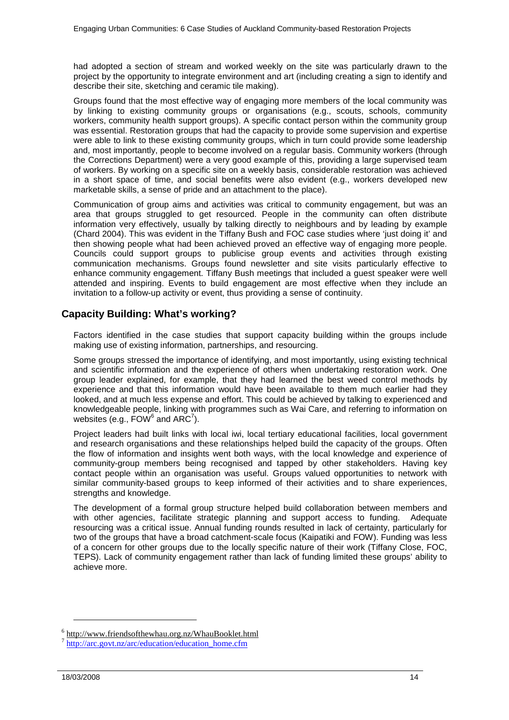had adopted a section of stream and worked weekly on the site was particularly drawn to the project by the opportunity to integrate environment and art (including creating a sign to identify and describe their site, sketching and ceramic tile making).

Groups found that the most effective way of engaging more members of the local community was by linking to existing community groups or organisations (e.g., scouts, schools, community workers, community health support groups). A specific contact person within the community group was essential. Restoration groups that had the capacity to provide some supervision and expertise were able to link to these existing community groups, which in turn could provide some leadership and, most importantly, people to become involved on a regular basis. Community workers (through the Corrections Department) were a very good example of this, providing a large supervised team of workers. By working on a specific site on a weekly basis, considerable restoration was achieved in a short space of time, and social benefits were also evident (e.g., workers developed new marketable skills, a sense of pride and an attachment to the place).

Communication of group aims and activities was critical to community engagement, but was an area that groups struggled to get resourced. People in the community can often distribute information very effectively, usually by talking directly to neighbours and by leading by example (Chard 2004). This was evident in the Tiffany Bush and FOC case studies where 'just doing it' and then showing people what had been achieved proved an effective way of engaging more people. Councils could support groups to publicise group events and activities through existing communication mechanisms. Groups found newsletter and site visits particularly effective to enhance community engagement. Tiffany Bush meetings that included a guest speaker were well attended and inspiring. Events to build engagement are most effective when they include an invitation to a follow-up activity or event, thus providing a sense of continuity.

# <span id="page-13-0"></span>**Capacity Building: What's working?**

Factors identified in the case studies that support capacity building within the groups include making use of existing information, partnerships, and resourcing.

Some groups stressed the importance of identifying, and most importantly, using existing technical and scientific information and the experience of others when undertaking restoration work. One group leader explained, for example, that they had learned the best weed control methods by experience and that this information would have been available to them much earlier had they looked, and at much less expense and effort. This could be achieved by talking to experienced and knowledgeable people, linking with programmes such as Wai Care, and referring to information on websites (e.g.,  $FOW^6$  and ARC<sup>7</sup>).

Project leaders had built links with local iwi, local tertiary educational facilities, local government and research organisations and these relationships helped build the capacity of the groups. Often the flow of information and insights went both ways, with the local knowledge and experience of community-group members being recognised and tapped by other stakeholders. Having key contact people within an organisation was useful. Groups valued opportunities to network with similar community-based groups to keep informed of their activities and to share experiences, strengths and knowledge.

The development of a formal group structure helped build collaboration between members and with other agencies, facilitate strategic planning and support access to funding. Adequate resourcing was a critical issue. Annual funding rounds resulted in lack of certainty, particularly for two of the groups that have a broad catchment-scale focus (Kaipatiki and FOW). Funding was less of a concern for other groups due to the locally specific nature of their work (Tiffany Close, FOC, TEPS). Lack of community engagement rather than lack of funding limited these groups' ability to achieve more.

-

<sup>6</sup> http://www.friendsofthewhau.org.nz/WhauBooklet.html [http://arc.govt.nz/arc/education/education\\_home.cfm](http://arc.govt.nz/arc/education/education_home.cfm)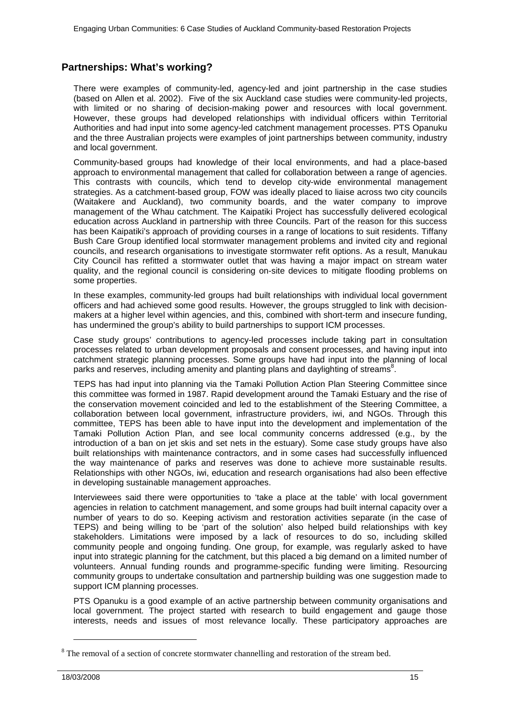# <span id="page-14-0"></span>**Partnerships: What's working?**

There were examples of community-led, agency-led and joint partnership in the case studies (based on Allen et al. 2002). Five of the six Auckland case studies were community-led projects, with limited or no sharing of decision-making power and resources with local government. However, these groups had developed relationships with individual officers within Territorial Authorities and had input into some agency-led catchment management processes. PTS Opanuku and the three Australian projects were examples of joint partnerships between community, industry and local government.

Community-based groups had knowledge of their local environments, and had a place-based approach to environmental management that called for collaboration between a range of agencies. This contrasts with councils, which tend to develop city-wide environmental management strategies. As a catchment-based group, FOW was ideally placed to liaise across two city councils (Waitakere and Auckland), two community boards, and the water company to improve management of the Whau catchment. The Kaipatiki Project has successfully delivered ecological education across Auckland in partnership with three Councils. Part of the reason for this success has been Kaipatiki's approach of providing courses in a range of locations to suit residents. Tiffany Bush Care Group identified local stormwater management problems and invited city and regional councils, and research organisations to investigate stormwater refit options. As a result, Manukau City Council has refitted a stormwater outlet that was having a major impact on stream water quality, and the regional council is considering on-site devices to mitigate flooding problems on some properties.

In these examples, community-led groups had built relationships with individual local government officers and had achieved some good results. However, the groups struggled to link with decisionmakers at a higher level within agencies, and this, combined with short-term and insecure funding, has undermined the group's ability to build partnerships to support ICM processes.

Case study groups' contributions to agency-led processes include taking part in consultation processes related to urban development proposals and consent processes, and having input into catchment strategic planning processes. Some groups have had input into the planning of local parks and reserves, including amenity and planting plans and daylighting of streams<sup>8</sup>.

TEPS has had input into planning via the Tamaki Pollution Action Plan Steering Committee since this committee was formed in 1987. Rapid development around the Tamaki Estuary and the rise of the conservation movement coincided and led to the establishment of the Steering Committee, a collaboration between local government, infrastructure providers, iwi, and NGOs. Through this committee, TEPS has been able to have input into the development and implementation of the Tamaki Pollution Action Plan, and see local community concerns addressed (e.g., by the introduction of a ban on jet skis and set nets in the estuary). Some case study groups have also built relationships with maintenance contractors, and in some cases had successfully influenced the way maintenance of parks and reserves was done to achieve more sustainable results. Relationships with other NGOs, iwi, education and research organisations had also been effective in developing sustainable management approaches.

Interviewees said there were opportunities to 'take a place at the table' with local government agencies in relation to catchment management, and some groups had built internal capacity over a number of years to do so. Keeping activism and restoration activities separate (in the case of TEPS) and being willing to be 'part of the solution' also helped build relationships with key stakeholders. Limitations were imposed by a lack of resources to do so, including skilled community people and ongoing funding. One group, for example, was regularly asked to have input into strategic planning for the catchment, but this placed a big demand on a limited number of volunteers. Annual funding rounds and programme-specific funding were limiting. Resourcing community groups to undertake consultation and partnership building was one suggestion made to support ICM planning processes.

PTS Opanuku is a good example of an active partnership between community organisations and local government. The project started with research to build engagement and gauge those interests, needs and issues of most relevance locally. These participatory approaches are

j

<sup>&</sup>lt;sup>8</sup> The removal of a section of concrete stormwater channelling and restoration of the stream bed.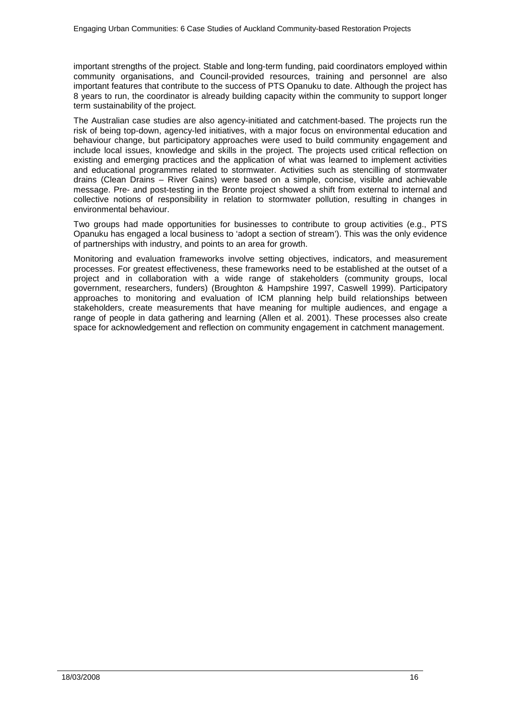important strengths of the project. Stable and long-term funding, paid coordinators employed within community organisations, and Council-provided resources, training and personnel are also important features that contribute to the success of PTS Opanuku to date. Although the project has 8 years to run, the coordinator is already building capacity within the community to support longer term sustainability of the project.

The Australian case studies are also agency-initiated and catchment-based. The projects run the risk of being top-down, agency-led initiatives, with a major focus on environmental education and behaviour change, but participatory approaches were used to build community engagement and include local issues, knowledge and skills in the project. The projects used critical reflection on existing and emerging practices and the application of what was learned to implement activities and educational programmes related to stormwater. Activities such as stencilling of stormwater drains (Clean Drains – River Gains) were based on a simple, concise, visible and achievable message. Pre- and post-testing in the Bronte project showed a shift from external to internal and collective notions of responsibility in relation to stormwater pollution, resulting in changes in environmental behaviour.

Two groups had made opportunities for businesses to contribute to group activities (e.g., PTS Opanuku has engaged a local business to 'adopt a section of stream'). This was the only evidence of partnerships with industry, and points to an area for growth.

Monitoring and evaluation frameworks involve setting objectives, indicators, and measurement processes. For greatest effectiveness, these frameworks need to be established at the outset of a project and in collaboration with a wide range of stakeholders (community groups, local government, researchers, funders) (Broughton & Hampshire 1997, Caswell 1999). Participatory approaches to monitoring and evaluation of ICM planning help build relationships between stakeholders, create measurements that have meaning for multiple audiences, and engage a range of people in data gathering and learning (Allen et al. 2001). These processes also create space for acknowledgement and reflection on community engagement in catchment management.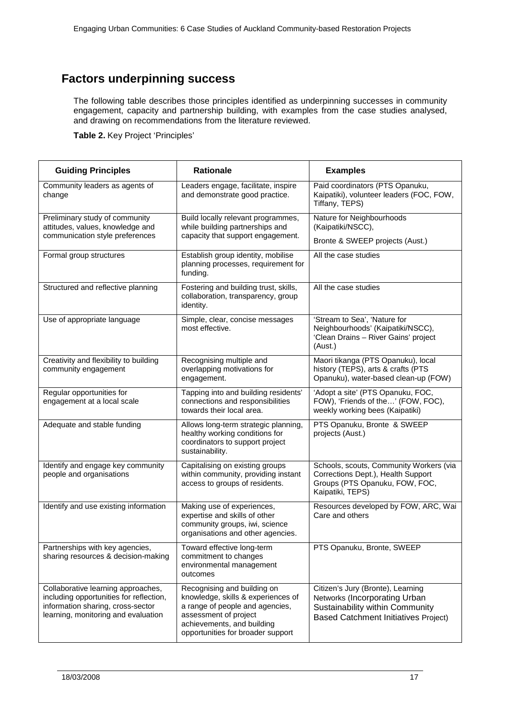# <span id="page-16-0"></span>**Factors underpinning success**

The following table describes those principles identified as underpinning successes in community engagement, capacity and partnership building, with examples from the case studies analysed, and drawing on recommendations from the literature reviewed.

**Table 2.** Key Project 'Principles'

| <b>Guiding Principles</b>                                                                                                                                 | <b>Rationale</b>                                                                                                                                                                                 | <b>Examples</b>                                                                                                                                      |  |  |
|-----------------------------------------------------------------------------------------------------------------------------------------------------------|--------------------------------------------------------------------------------------------------------------------------------------------------------------------------------------------------|------------------------------------------------------------------------------------------------------------------------------------------------------|--|--|
| Community leaders as agents of<br>change                                                                                                                  | Leaders engage, facilitate, inspire<br>and demonstrate good practice.                                                                                                                            | Paid coordinators (PTS Opanuku,<br>Kaipatiki), volunteer leaders (FOC, FOW,<br>Tiffany, TEPS)                                                        |  |  |
| Preliminary study of community<br>attitudes, values, knowledge and                                                                                        | Build locally relevant programmes,<br>while building partnerships and                                                                                                                            | Nature for Neighbourhoods<br>(Kaipatiki/NSCC),                                                                                                       |  |  |
| communication style preferences                                                                                                                           | capacity that support engagement.                                                                                                                                                                | Bronte & SWEEP projects (Aust.)                                                                                                                      |  |  |
| Formal group structures                                                                                                                                   | Establish group identity, mobilise<br>planning processes, requirement for<br>funding.                                                                                                            | All the case studies                                                                                                                                 |  |  |
| Structured and reflective planning                                                                                                                        | Fostering and building trust, skills,<br>collaboration, transparency, group<br>identity.                                                                                                         | All the case studies                                                                                                                                 |  |  |
| Use of appropriate language                                                                                                                               | Simple, clear, concise messages<br>most effective.                                                                                                                                               | 'Stream to Sea', 'Nature for<br>Neighbourhoods' (Kaipatiki/NSCC),<br>'Clean Drains - River Gains' project<br>(Aust.)                                 |  |  |
| Creativity and flexibility to building<br>community engagement                                                                                            | Recognising multiple and<br>overlapping motivations for<br>engagement.                                                                                                                           | Maori tikanga (PTS Opanuku), local<br>history (TEPS), arts & crafts (PTS<br>Opanuku), water-based clean-up (FOW)                                     |  |  |
| Regular opportunities for<br>engagement at a local scale                                                                                                  | Tapping into and building residents'<br>connections and responsibilities<br>towards their local area.                                                                                            | 'Adopt a site' (PTS Opanuku, FOC,<br>FOW), 'Friends of the' (FOW, FOC),<br>weekly working bees (Kaipatiki)                                           |  |  |
| Adequate and stable funding                                                                                                                               | Allows long-term strategic planning,<br>healthy working conditions for<br>coordinators to support project<br>sustainability.                                                                     | PTS Opanuku, Bronte & SWEEP<br>projects (Aust.)                                                                                                      |  |  |
| Identify and engage key community<br>people and organisations                                                                                             | Capitalising on existing groups<br>within community, providing instant<br>access to groups of residents.                                                                                         | Schools, scouts, Community Workers (via<br>Corrections Dept.), Health Support<br>Groups (PTS Opanuku, FOW, FOC,<br>Kaipatiki, TEPS)                  |  |  |
| Identify and use existing information                                                                                                                     | Making use of experiences,<br>expertise and skills of other<br>community groups, iwi, science<br>organisations and other agencies.                                                               | Resources developed by FOW, ARC, Wai<br>Care and others                                                                                              |  |  |
| Partnerships with key agencies,<br>sharing resources & decision-making                                                                                    | Toward effective long-term<br>commitment to changes<br>environmental management<br>outcomes                                                                                                      | PTS Opanuku, Bronte, SWEEP                                                                                                                           |  |  |
| Collaborative learning approaches,<br>including opportunities for reflection,<br>information sharing, cross-sector<br>learning, monitoring and evaluation | Recognising and building on<br>knowledge, skills & experiences of<br>a range of people and agencies,<br>assessment of project<br>achievements, and building<br>opportunities for broader support | Citizen's Jury (Bronte), Learning<br>Networks (Incorporating Urban<br>Sustainability within Community<br><b>Based Catchment Initiatives Project)</b> |  |  |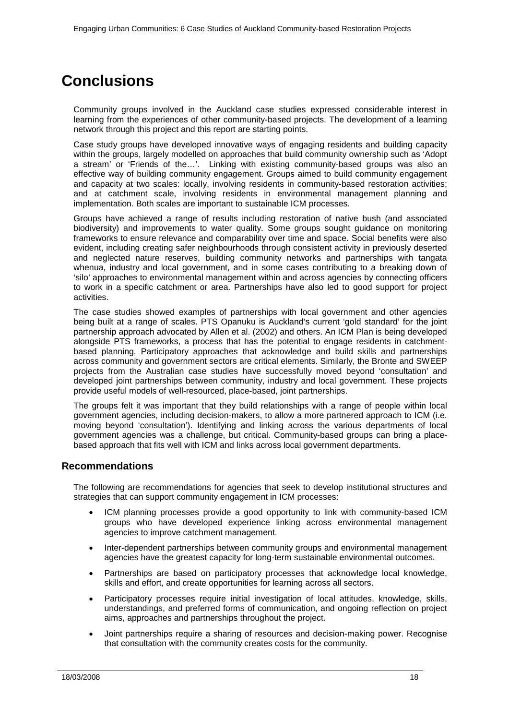# <span id="page-17-0"></span>**Conclusions**

Community groups involved in the Auckland case studies expressed considerable interest in learning from the experiences of other community-based projects. The development of a learning network through this project and this report are starting points.

Case study groups have developed innovative ways of engaging residents and building capacity within the groups, largely modelled on approaches that build community ownership such as 'Adopt a stream' or 'Friends of the…'. Linking with existing community-based groups was also an effective way of building community engagement. Groups aimed to build community engagement and capacity at two scales: locally, involving residents in community-based restoration activities; and at catchment scale, involving residents in environmental management planning and implementation. Both scales are important to sustainable ICM processes.

Groups have achieved a range of results including restoration of native bush (and associated biodiversity) and improvements to water quality. Some groups sought guidance on monitoring frameworks to ensure relevance and comparability over time and space. Social benefits were also evident, including creating safer neighbourhoods through consistent activity in previously deserted and neglected nature reserves, building community networks and partnerships with tangata whenua, industry and local government, and in some cases contributing to a breaking down of 'silo' approaches to environmental management within and across agencies by connecting officers to work in a specific catchment or area. Partnerships have also led to good support for project activities.

The case studies showed examples of partnerships with local government and other agencies being built at a range of scales. PTS Opanuku is Auckland's current 'gold standard' for the joint partnership approach advocated by Allen et al. (2002) and others. An ICM Plan is being developed alongside PTS frameworks, a process that has the potential to engage residents in catchmentbased planning. Participatory approaches that acknowledge and build skills and partnerships across community and government sectors are critical elements. Similarly, the Bronte and SWEEP projects from the Australian case studies have successfully moved beyond 'consultation' and developed joint partnerships between community, industry and local government. These projects provide useful models of well-resourced, place-based, joint partnerships.

The groups felt it was important that they build relationships with a range of people within local government agencies, including decision-makers, to allow a more partnered approach to ICM (i.e. moving beyond 'consultation'). Identifying and linking across the various departments of local government agencies was a challenge, but critical. Community-based groups can bring a placebased approach that fits well with ICM and links across local government departments.

### <span id="page-17-1"></span>**Recommendations**

The following are recommendations for agencies that seek to develop institutional structures and strategies that can support community engagement in ICM processes:

- ICM planning processes provide a good opportunity to link with community-based ICM groups who have developed experience linking across environmental management agencies to improve catchment management.
- Inter-dependent partnerships between community groups and environmental management agencies have the greatest capacity for long-term sustainable environmental outcomes.
- Partnerships are based on participatory processes that acknowledge local knowledge, skills and effort, and create opportunities for learning across all sectors.
- Participatory processes require initial investigation of local attitudes, knowledge, skills, understandings, and preferred forms of communication, and ongoing reflection on project aims, approaches and partnerships throughout the project.
- Joint partnerships require a sharing of resources and decision-making power. Recognise that consultation with the community creates costs for the community.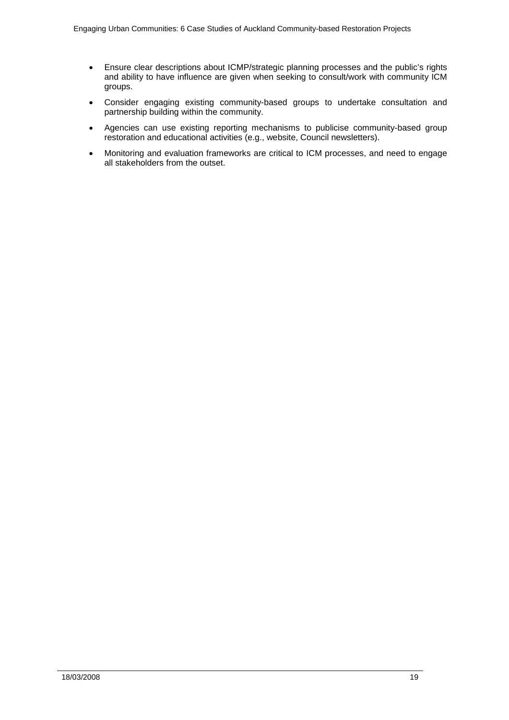- Ensure clear descriptions about ICMP/strategic planning processes and the public's rights and ability to have influence are given when seeking to consult/work with community ICM groups.
- Consider engaging existing community-based groups to undertake consultation and partnership building within the community.
- Agencies can use existing reporting mechanisms to publicise community-based group restoration and educational activities (e.g., website, Council newsletters).
- Monitoring and evaluation frameworks are critical to ICM processes, and need to engage all stakeholders from the outset.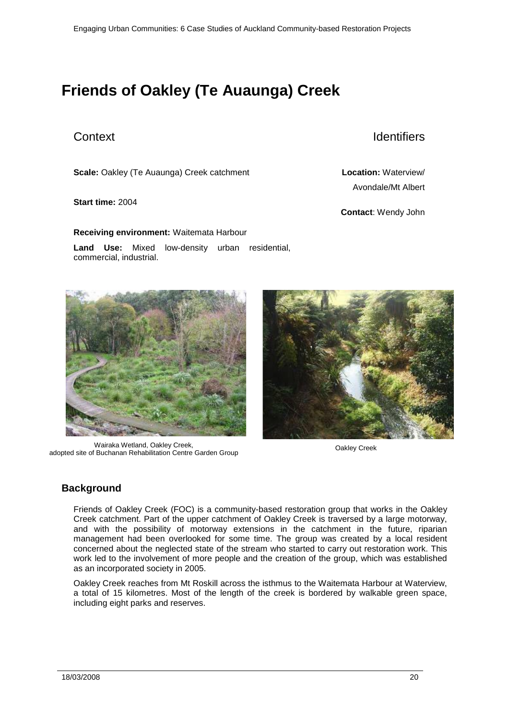# <span id="page-19-0"></span>**Friends of Oakley (Te Auaunga) Creek**

**Scale:** Oakley (Te Auaunga) Creek catchment **Location:** Waterview/

### **Start time:** 2004

**Receiving environment:** Waitemata Harbour

**Land Use:** Mixed low-density urban residential, commercial, industrial.



Wairaka Wetland, Oakley Creek, vairaka wetland, Oakley Creek,<br>adopted site of Buchanan Rehabilitation Centre Garden Group of New Oakley Creek



# <span id="page-19-1"></span>**Background**

Friends of Oakley Creek (FOC) is a community-based restoration group that works in the Oakley Creek catchment. Part of the upper catchment of Oakley Creek is traversed by a large motorway, and with the possibility of motorway extensions in the catchment in the future, riparian management had been overlooked for some time. The group was created by a local resident concerned about the neglected state of the stream who started to carry out restoration work. This work led to the involvement of more people and the creation of the group, which was established as an incorporated society in 2005.

Oakley Creek reaches from Mt Roskill across the isthmus to the Waitemata Harbour at Waterview, a total of 15 kilometres. Most of the length of the creek is bordered by walkable green space, including eight parks and reserves.

# Context Identifiers

Avondale/Mt Albert

**Contact**: Wendy John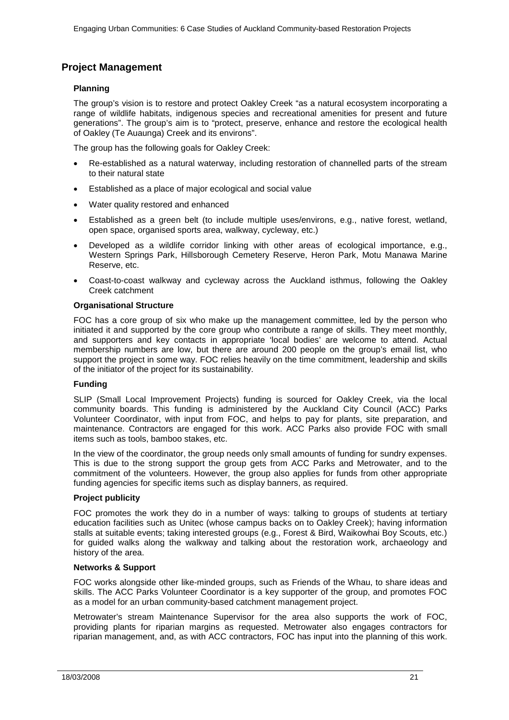# <span id="page-20-0"></span>**Project Management**

### **Planning**

The group's vision is to restore and protect Oakley Creek "as a natural ecosystem incorporating a range of wildlife habitats, indigenous species and recreational amenities for present and future generations". The group's aim is to "protect, preserve, enhance and restore the ecological health of Oakley (Te Auaunga) Creek and its environs".

The group has the following goals for Oakley Creek:

- Re-established as a natural waterway, including restoration of channelled parts of the stream to their natural state
- Established as a place of major ecological and social value
- Water quality restored and enhanced
- Established as a green belt (to include multiple uses/environs, e.g., native forest, wetland, open space, organised sports area, walkway, cycleway, etc.)
- Developed as a wildlife corridor linking with other areas of ecological importance, e.g., Western Springs Park, Hillsborough Cemetery Reserve, Heron Park, Motu Manawa Marine Reserve, etc.
- Coast-to-coast walkway and cycleway across the Auckland isthmus, following the Oakley Creek catchment

### **Organisational Structure**

FOC has a core group of six who make up the management committee, led by the person who initiated it and supported by the core group who contribute a range of skills. They meet monthly, and supporters and key contacts in appropriate 'local bodies' are welcome to attend. Actual membership numbers are low, but there are around 200 people on the group's email list, who support the project in some way. FOC relies heavily on the time commitment, leadership and skills of the initiator of the project for its sustainability.

### **Funding**

SLIP (Small Local Improvement Projects) funding is sourced for Oakley Creek, via the local community boards. This funding is administered by the Auckland City Council (ACC) Parks Volunteer Coordinator, with input from FOC, and helps to pay for plants, site preparation, and maintenance. Contractors are engaged for this work. ACC Parks also provide FOC with small items such as tools, bamboo stakes, etc.

In the view of the coordinator, the group needs only small amounts of funding for sundry expenses. This is due to the strong support the group gets from ACC Parks and Metrowater, and to the commitment of the volunteers. However, the group also applies for funds from other appropriate funding agencies for specific items such as display banners, as required.

### **Project publicity**

FOC promotes the work they do in a number of ways: talking to groups of students at tertiary education facilities such as Unitec (whose campus backs on to Oakley Creek); having information stalls at suitable events; taking interested groups (e.g., Forest & Bird, Waikowhai Boy Scouts, etc.) for guided walks along the walkway and talking about the restoration work, archaeology and history of the area.

### **Networks & Support**

FOC works alongside other like-minded groups, such as Friends of the Whau, to share ideas and skills. The ACC Parks Volunteer Coordinator is a key supporter of the group, and promotes FOC as a model for an urban community-based catchment management project.

Metrowater's stream Maintenance Supervisor for the area also supports the work of FOC, providing plants for riparian margins as requested. Metrowater also engages contractors for riparian management, and, as with ACC contractors, FOC has input into the planning of this work.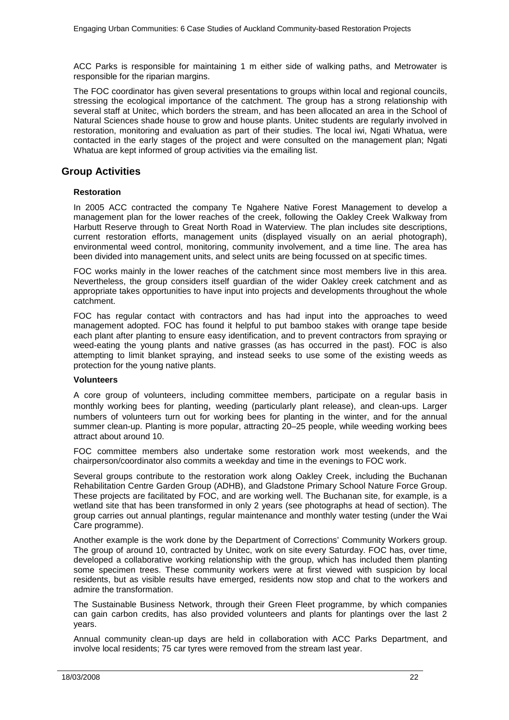ACC Parks is responsible for maintaining 1 m either side of walking paths, and Metrowater is responsible for the riparian margins.

The FOC coordinator has given several presentations to groups within local and regional councils, stressing the ecological importance of the catchment. The group has a strong relationship with several staff at Unitec, which borders the stream, and has been allocated an area in the School of Natural Sciences shade house to grow and house plants. Unitec students are regularly involved in restoration, monitoring and evaluation as part of their studies. The local iwi, Ngati Whatua, were contacted in the early stages of the project and were consulted on the management plan; Ngati Whatua are kept informed of group activities via the emailing list.

# <span id="page-21-0"></span>**Group Activities**

### **Restoration**

In 2005 ACC contracted the company Te Ngahere Native Forest Management to develop a management plan for the lower reaches of the creek, following the Oakley Creek Walkway from Harbutt Reserve through to Great North Road in Waterview. The plan includes site descriptions, current restoration efforts, management units (displayed visually on an aerial photograph), environmental weed control, monitoring, community involvement, and a time line. The area has been divided into management units, and select units are being focussed on at specific times.

FOC works mainly in the lower reaches of the catchment since most members live in this area. Nevertheless, the group considers itself guardian of the wider Oakley creek catchment and as appropriate takes opportunities to have input into projects and developments throughout the whole catchment.

FOC has regular contact with contractors and has had input into the approaches to weed management adopted. FOC has found it helpful to put bamboo stakes with orange tape beside each plant after planting to ensure easy identification, and to prevent contractors from spraying or weed-eating the young plants and native grasses (as has occurred in the past). FOC is also attempting to limit blanket spraying, and instead seeks to use some of the existing weeds as protection for the young native plants.

### **Volunteers**

A core group of volunteers, including committee members, participate on a regular basis in monthly working bees for planting, weeding (particularly plant release), and clean-ups. Larger numbers of volunteers turn out for working bees for planting in the winter, and for the annual summer clean-up. Planting is more popular, attracting 20–25 people, while weeding working bees attract about around 10.

FOC committee members also undertake some restoration work most weekends, and the chairperson/coordinator also commits a weekday and time in the evenings to FOC work.

Several groups contribute to the restoration work along Oakley Creek, including the Buchanan Rehabilitation Centre Garden Group (ADHB), and Gladstone Primary School Nature Force Group. These projects are facilitated by FOC, and are working well. The Buchanan site, for example, is a wetland site that has been transformed in only 2 years (see photographs at head of section). The group carries out annual plantings, regular maintenance and monthly water testing (under the Wai Care programme).

Another example is the work done by the Department of Corrections' Community Workers group. The group of around 10, contracted by Unitec, work on site every Saturday. FOC has, over time, developed a collaborative working relationship with the group, which has included them planting some specimen trees. These community workers were at first viewed with suspicion by local residents, but as visible results have emerged, residents now stop and chat to the workers and admire the transformation.

The Sustainable Business Network, through their Green Fleet programme, by which companies can gain carbon credits, has also provided volunteers and plants for plantings over the last 2 years.

Annual community clean-up days are held in collaboration with ACC Parks Department, and involve local residents; 75 car tyres were removed from the stream last year.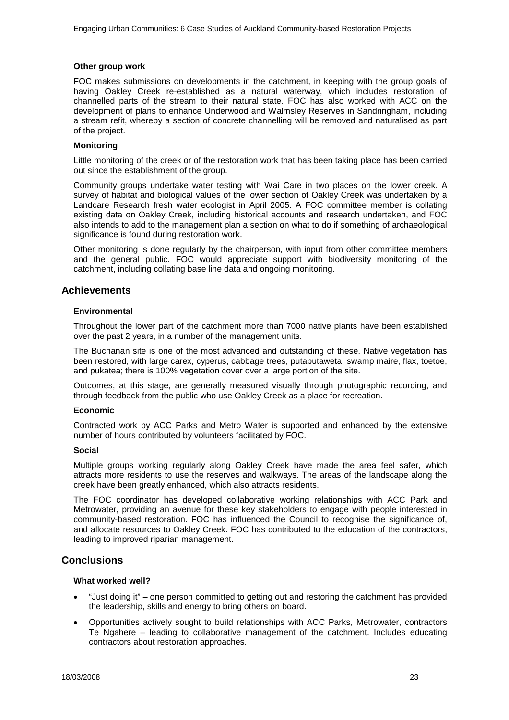### **Other group work**

FOC makes submissions on developments in the catchment, in keeping with the group goals of having Oakley Creek re-established as a natural waterway, which includes restoration of channelled parts of the stream to their natural state. FOC has also worked with ACC on the development of plans to enhance Underwood and Walmsley Reserves in Sandringham, including a stream refit, whereby a section of concrete channelling will be removed and naturalised as part of the project.

### **Monitoring**

Little monitoring of the creek or of the restoration work that has been taking place has been carried out since the establishment of the group.

Community groups undertake water testing with Wai Care in two places on the lower creek. A survey of habitat and biological values of the lower section of Oakley Creek was undertaken by a Landcare Research fresh water ecologist in April 2005. A FOC committee member is collating existing data on Oakley Creek, including historical accounts and research undertaken, and FOC also intends to add to the management plan a section on what to do if something of archaeological significance is found during restoration work.

Other monitoring is done regularly by the chairperson, with input from other committee members and the general public. FOC would appreciate support with biodiversity monitoring of the catchment, including collating base line data and ongoing monitoring.

### <span id="page-22-0"></span>**Achievements**

### **Environmental**

Throughout the lower part of the catchment more than 7000 native plants have been established over the past 2 years, in a number of the management units.

The Buchanan site is one of the most advanced and outstanding of these. Native vegetation has been restored, with large carex, cyperus, cabbage trees, putaputaweta, swamp maire, flax, toetoe, and pukatea; there is 100% vegetation cover over a large portion of the site.

Outcomes, at this stage, are generally measured visually through photographic recording, and through feedback from the public who use Oakley Creek as a place for recreation.

### **Economic**

Contracted work by ACC Parks and Metro Water is supported and enhanced by the extensive number of hours contributed by volunteers facilitated by FOC.

### **Social**

Multiple groups working regularly along Oakley Creek have made the area feel safer, which attracts more residents to use the reserves and walkways. The areas of the landscape along the creek have been greatly enhanced, which also attracts residents.

The FOC coordinator has developed collaborative working relationships with ACC Park and Metrowater, providing an avenue for these key stakeholders to engage with people interested in community-based restoration. FOC has influenced the Council to recognise the significance of, and allocate resources to Oakley Creek. FOC has contributed to the education of the contractors, leading to improved riparian management.

### <span id="page-22-1"></span>**Conclusions**

### **What worked well?**

- "Just doing it" one person committed to getting out and restoring the catchment has provided the leadership, skills and energy to bring others on board.
- Opportunities actively sought to build relationships with ACC Parks, Metrowater, contractors Te Ngahere – leading to collaborative management of the catchment. Includes educating contractors about restoration approaches.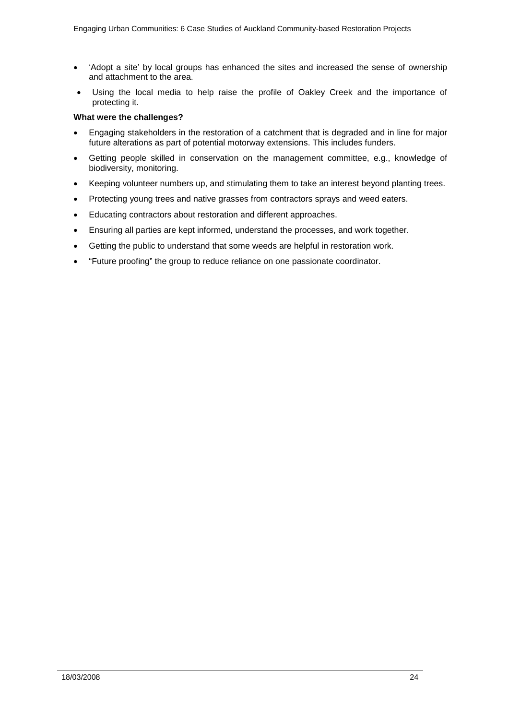- 'Adopt a site' by local groups has enhanced the sites and increased the sense of ownership and attachment to the area.
- Using the local media to help raise the profile of Oakley Creek and the importance of protecting it.

### **What were the challenges?**

- Engaging stakeholders in the restoration of a catchment that is degraded and in line for major future alterations as part of potential motorway extensions. This includes funders.
- Getting people skilled in conservation on the management committee, e.g., knowledge of biodiversity, monitoring.
- Keeping volunteer numbers up, and stimulating them to take an interest beyond planting trees.
- Protecting young trees and native grasses from contractors sprays and weed eaters.
- Educating contractors about restoration and different approaches.
- Ensuring all parties are kept informed, understand the processes, and work together.
- Getting the public to understand that some weeds are helpful in restoration work.
- "Future proofing" the group to reduce reliance on one passionate coordinator.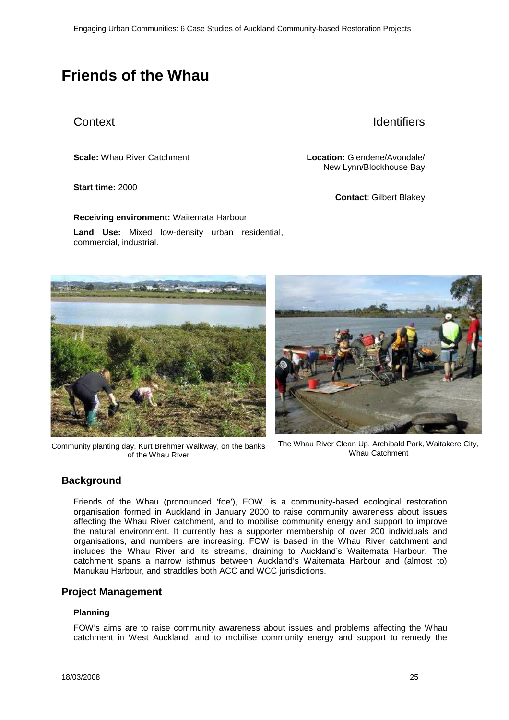# <span id="page-24-0"></span>**Friends of the Whau**

# Context **Identifiers**

### **Start time:** 2000

**Scale:** Whau River Catchment **Location:** Glendene/Avondale/ New Lynn/Blockhouse Bay

**Contact**: Gilbert Blakey

**Receiving environment:** Waitemata Harbour **Land Use:** Mixed low-density urban residential, commercial, industrial.



Community planting day, Kurt Brehmer Walkway, on the banks of the Whau River



The Whau River Clean Up, Archibald Park, Waitakere City, Whau Catchment

# <span id="page-24-1"></span>**Background**

Friends of the Whau (pronounced 'foe'), FOW, is a community-based ecological restoration organisation formed in Auckland in January 2000 to raise community awareness about issues affecting the Whau River catchment, and to mobilise community energy and support to improve the natural environment. It currently has a supporter membership of over 200 individuals and organisations, and numbers are increasing. FOW is based in the Whau River catchment and includes the Whau River and its streams, draining to Auckland's Waitemata Harbour. The catchment spans a narrow isthmus between Auckland's Waitemata Harbour and (almost to) Manukau Harbour, and straddles both ACC and WCC jurisdictions.

## <span id="page-24-2"></span>**Project Management**

### **Planning**

FOW's aims are to raise community awareness about issues and problems affecting the Whau catchment in West Auckland, and to mobilise community energy and support to remedy the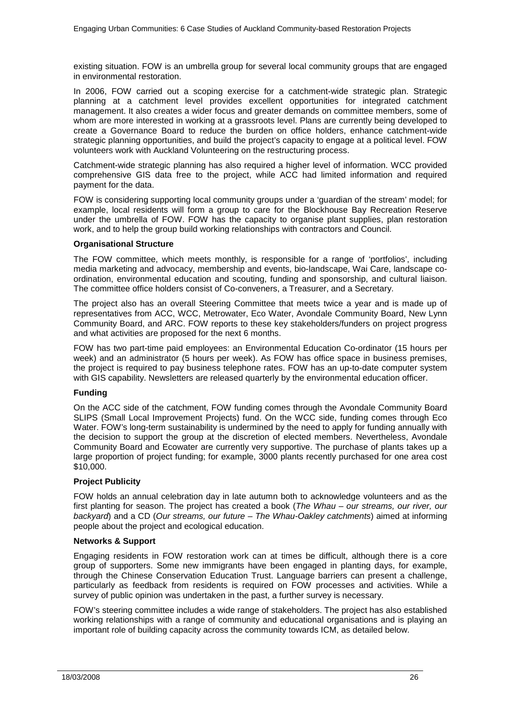existing situation. FOW is an umbrella group for several local community groups that are engaged in environmental restoration.

In 2006, FOW carried out a scoping exercise for a catchment-wide strategic plan. Strategic planning at a catchment level provides excellent opportunities for integrated catchment management. It also creates a wider focus and greater demands on committee members, some of whom are more interested in working at a grassroots level. Plans are currently being developed to create a Governance Board to reduce the burden on office holders, enhance catchment-wide strategic planning opportunities, and build the project's capacity to engage at a political level. FOW volunteers work with Auckland Volunteering on the restructuring process.

Catchment-wide strategic planning has also required a higher level of information. WCC provided comprehensive GIS data free to the project, while ACC had limited information and required payment for the data.

FOW is considering supporting local community groups under a 'guardian of the stream' model; for example, local residents will form a group to care for the Blockhouse Bay Recreation Reserve under the umbrella of FOW. FOW has the capacity to organise plant supplies, plan restoration work, and to help the group build working relationships with contractors and Council.

### **Organisational Structure**

The FOW committee, which meets monthly, is responsible for a range of 'portfolios', including media marketing and advocacy, membership and events, bio-landscape, Wai Care, landscape coordination, environmental education and scouting, funding and sponsorship, and cultural liaison. The committee office holders consist of Co-conveners, a Treasurer, and a Secretary.

The project also has an overall Steering Committee that meets twice a year and is made up of representatives from ACC, WCC, Metrowater, Eco Water, Avondale Community Board, New Lynn Community Board, and ARC. FOW reports to these key stakeholders/funders on project progress and what activities are proposed for the next 6 months.

FOW has two part-time paid employees: an Environmental Education Co-ordinator (15 hours per week) and an administrator (5 hours per week). As FOW has office space in business premises, the project is required to pay business telephone rates. FOW has an up-to-date computer system with GIS capability. Newsletters are released quarterly by the environmental education officer.

### **Funding**

On the ACC side of the catchment, FOW funding comes through the Avondale Community Board SLIPS (Small Local Improvement Projects) fund. On the WCC side, funding comes through Eco Water. FOW's long-term sustainability is undermined by the need to apply for funding annually with the decision to support the group at the discretion of elected members. Nevertheless, Avondale Community Board and Ecowater are currently very supportive. The purchase of plants takes up a large proportion of project funding; for example, 3000 plants recently purchased for one area cost \$10,000.

### **Project Publicity**

FOW holds an annual celebration day in late autumn both to acknowledge volunteers and as the first planting for season. The project has created a book (*The Whau – our streams, our river, our backyard*) and a CD (*Our streams, our future – The Whau-Oakley catchments*) aimed at informing people about the project and ecological education.

### **Networks & Support**

Engaging residents in FOW restoration work can at times be difficult, although there is a core group of supporters. Some new immigrants have been engaged in planting days, for example, through the Chinese Conservation Education Trust. Language barriers can present a challenge, particularly as feedback from residents is required on FOW processes and activities. While a survey of public opinion was undertaken in the past, a further survey is necessary.

FOW's steering committee includes a wide range of stakeholders. The project has also established working relationships with a range of community and educational organisations and is playing an important role of building capacity across the community towards ICM, as detailed below.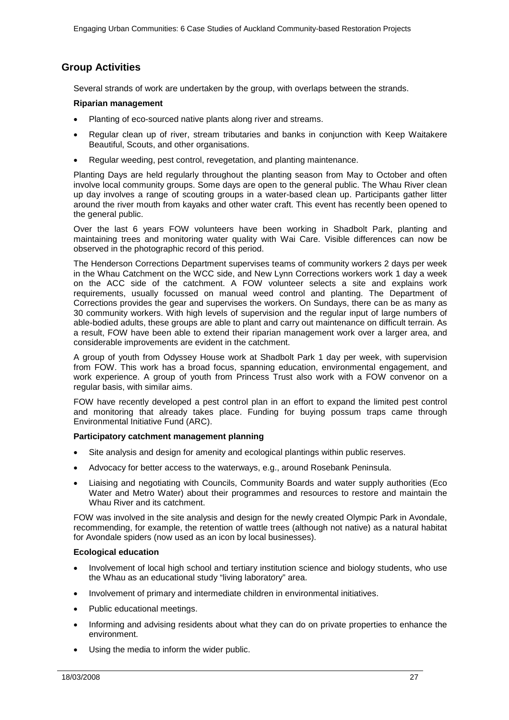# <span id="page-26-0"></span>**Group Activities**

Several strands of work are undertaken by the group, with overlaps between the strands.

### **Riparian management**

- Planting of eco-sourced native plants along river and streams.
- Regular clean up of river, stream tributaries and banks in conjunction with Keep Waitakere Beautiful, Scouts, and other organisations.
- Regular weeding, pest control, revegetation, and planting maintenance.

Planting Days are held regularly throughout the planting season from May to October and often involve local community groups. Some days are open to the general public. The Whau River clean up day involves a range of scouting groups in a water-based clean up. Participants gather litter around the river mouth from kayaks and other water craft. This event has recently been opened to the general public.

Over the last 6 years FOW volunteers have been working in Shadbolt Park, planting and maintaining trees and monitoring water quality with Wai Care. Visible differences can now be observed in the photographic record of this period.

The Henderson Corrections Department supervises teams of community workers 2 days per week in the Whau Catchment on the WCC side, and New Lynn Corrections workers work 1 day a week on the ACC side of the catchment. A FOW volunteer selects a site and explains work requirements, usually focussed on manual weed control and planting. The Department of Corrections provides the gear and supervises the workers. On Sundays, there can be as many as 30 community workers. With high levels of supervision and the regular input of large numbers of able-bodied adults, these groups are able to plant and carry out maintenance on difficult terrain. As a result, FOW have been able to extend their riparian management work over a larger area, and considerable improvements are evident in the catchment.

A group of youth from Odyssey House work at Shadbolt Park 1 day per week, with supervision from FOW. This work has a broad focus, spanning education, environmental engagement, and work experience. A group of youth from Princess Trust also work with a FOW convenor on a regular basis, with similar aims.

FOW have recently developed a pest control plan in an effort to expand the limited pest control and monitoring that already takes place. Funding for buying possum traps came through Environmental Initiative Fund (ARC).

### **Participatory catchment management planning**

- Site analysis and design for amenity and ecological plantings within public reserves.
- Advocacy for better access to the waterways, e.g., around Rosebank Peninsula.
- Liaising and negotiating with Councils, Community Boards and water supply authorities (Eco Water and Metro Water) about their programmes and resources to restore and maintain the Whau River and its catchment.

FOW was involved in the site analysis and design for the newly created Olympic Park in Avondale, recommending, for example, the retention of wattle trees (although not native) as a natural habitat for Avondale spiders (now used as an icon by local businesses).

### **Ecological education**

- Involvement of local high school and tertiary institution science and biology students, who use the Whau as an educational study "living laboratory" area.
- Involvement of primary and intermediate children in environmental initiatives.
- Public educational meetings.
- Informing and advising residents about what they can do on private properties to enhance the environment.
- Using the media to inform the wider public.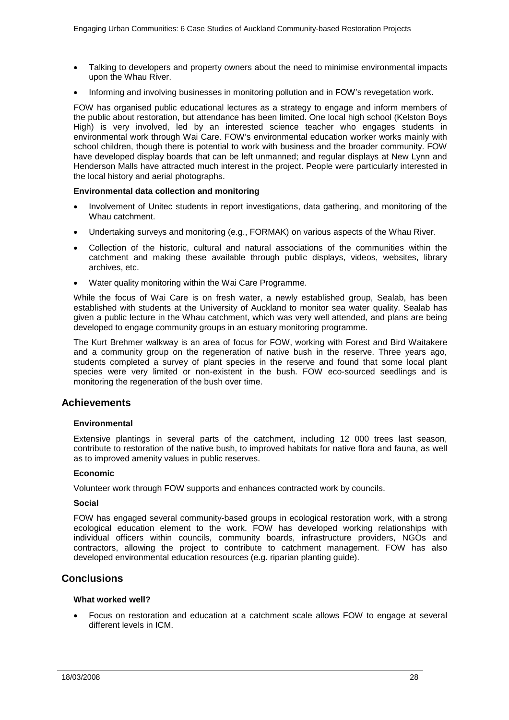- Talking to developers and property owners about the need to minimise environmental impacts upon the Whau River.
- Informing and involving businesses in monitoring pollution and in FOW's revegetation work.

FOW has organised public educational lectures as a strategy to engage and inform members of the public about restoration, but attendance has been limited. One local high school (Kelston Boys High) is very involved, led by an interested science teacher who engages students in environmental work through Wai Care. FOW's environmental education worker works mainly with school children, though there is potential to work with business and the broader community. FOW have developed display boards that can be left unmanned; and regular displays at New Lynn and Henderson Malls have attracted much interest in the project. People were particularly interested in the local history and aerial photographs.

### **Environmental data collection and monitoring**

- Involvement of Unitec students in report investigations, data gathering, and monitoring of the Whau catchment.
- Undertaking surveys and monitoring (e.g., FORMAK) on various aspects of the Whau River.
- Collection of the historic, cultural and natural associations of the communities within the catchment and making these available through public displays, videos, websites, library archives, etc.
- Water quality monitoring within the Wai Care Programme.

While the focus of Wai Care is on fresh water, a newly established group, Sealab, has been established with students at the University of Auckland to monitor sea water quality. Sealab has given a public lecture in the Whau catchment, which was very well attended, and plans are being developed to engage community groups in an estuary monitoring programme.

The Kurt Brehmer walkway is an area of focus for FOW, working with Forest and Bird Waitakere and a community group on the regeneration of native bush in the reserve. Three years ago, students completed a survey of plant species in the reserve and found that some local plant species were very limited or non-existent in the bush. FOW eco-sourced seedlings and is monitoring the regeneration of the bush over time.

### <span id="page-27-0"></span>**Achievements**

### **Environmental**

Extensive plantings in several parts of the catchment, including 12 000 trees last season, contribute to restoration of the native bush, to improved habitats for native flora and fauna, as well as to improved amenity values in public reserves.

### **Economic**

Volunteer work through FOW supports and enhances contracted work by councils.

### **Social**

FOW has engaged several community-based groups in ecological restoration work, with a strong ecological education element to the work. FOW has developed working relationships with individual officers within councils, community boards, infrastructure providers, NGOs and contractors, allowing the project to contribute to catchment management. FOW has also developed environmental education resources (e.g. riparian planting guide).

### <span id="page-27-1"></span>**Conclusions**

### **What worked well?**

• Focus on restoration and education at a catchment scale allows FOW to engage at several different levels in ICM.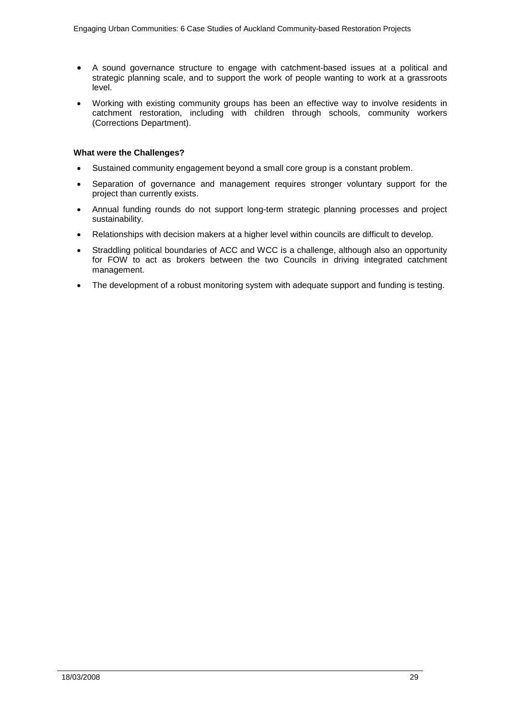- A sound governance structure to engage with catchment-based issues at a political and strategic planning scale, and to support the work of people wanting to work at a grassroots level.
- Working with existing community groups has been an effective way to involve residents in catchment restoration, including with children through schools, community workers (Corrections Department).

### **What were the Challenges?**

- Sustained community engagement beyond a small core group is a constant problem.
- Separation of governance and management requires stronger voluntary support for the project than currently exists.
- Annual funding rounds do not support long-term strategic planning processes and project sustainability.
- Relationships with decision makers at a higher level within councils are difficult to develop.
- Straddling political boundaries of ACC and WCC is a challenge, although also an opportunity for FOW to act as brokers between the two Councils in driving integrated catchment management.
- The development of a robust monitoring system with adequate support and funding is testing.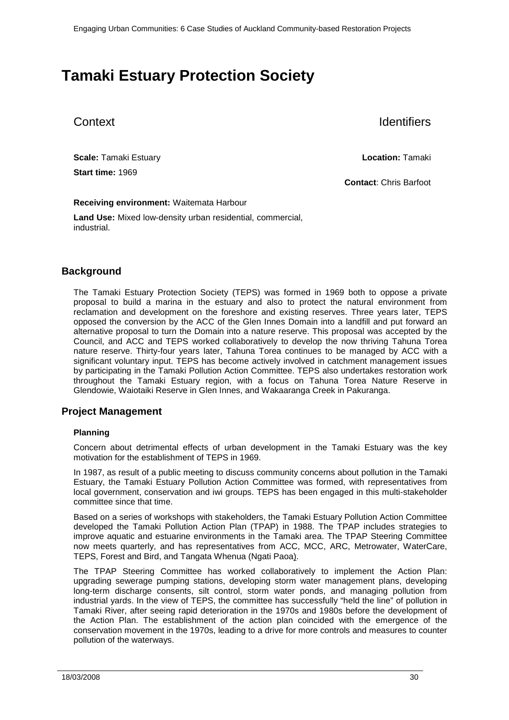# <span id="page-29-0"></span>**Tamaki Estuary Protection Society**

Context **Identifiers** 

**Scale:** Tamaki Estuary **Location:** Tamaki **Start time:** 1969

**Contact**: Chris Barfoot

### **Receiving environment:** Waitemata Harbour

**Land Use:** Mixed low-density urban residential, commercial, industrial.

# <span id="page-29-1"></span>**Background**

The Tamaki Estuary Protection Society (TEPS) was formed in 1969 both to oppose a private proposal to build a marina in the estuary and also to protect the natural environment from reclamation and development on the foreshore and existing reserves. Three years later, TEPS opposed the conversion by the ACC of the Glen Innes Domain into a landfill and put forward an alternative proposal to turn the Domain into a nature reserve. This proposal was accepted by the Council, and ACC and TEPS worked collaboratively to develop the now thriving Tahuna Torea nature reserve. Thirty-four years later, Tahuna Torea continues to be managed by ACC with a significant voluntary input. TEPS has become actively involved in catchment management issues by participating in the Tamaki Pollution Action Committee. TEPS also undertakes restoration work throughout the Tamaki Estuary region, with a focus on Tahuna Torea Nature Reserve in Glendowie, Waiotaiki Reserve in Glen Innes, and Wakaaranga Creek in Pakuranga.

## <span id="page-29-2"></span>**Project Management**

### **Planning**

Concern about detrimental effects of urban development in the Tamaki Estuary was the key motivation for the establishment of TEPS in 1969.

In 1987, as result of a public meeting to discuss community concerns about pollution in the Tamaki Estuary, the Tamaki Estuary Pollution Action Committee was formed, with representatives from local government, conservation and iwi groups. TEPS has been engaged in this multi-stakeholder committee since that time.

Based on a series of workshops with stakeholders, the Tamaki Estuary Pollution Action Committee developed the Tamaki Pollution Action Plan (TPAP) in 1988. The TPAP includes strategies to improve aquatic and estuarine environments in the Tamaki area. The TPAP Steering Committee now meets quarterly, and has representatives from ACC, MCC, ARC, Metrowater, WaterCare, TEPS, Forest and Bird, and Tangata Whenua (Ngati Paoa).

The TPAP Steering Committee has worked collaboratively to implement the Action Plan: upgrading sewerage pumping stations, developing storm water management plans, developing long-term discharge consents, silt control, storm water ponds, and managing pollution from industrial yards. In the view of TEPS, the committee has successfully "held the line" of pollution in Tamaki River, after seeing rapid deterioration in the 1970s and 1980s before the development of the Action Plan. The establishment of the action plan coincided with the emergence of the conservation movement in the 1970s, leading to a drive for more controls and measures to counter pollution of the waterways.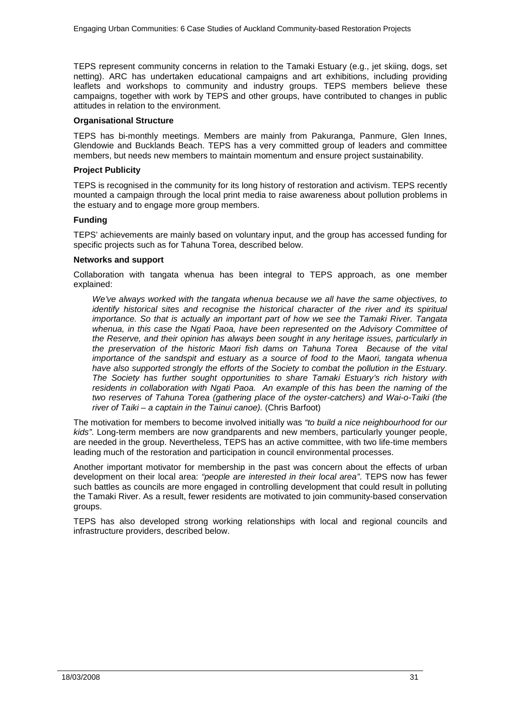TEPS represent community concerns in relation to the Tamaki Estuary (e.g., jet skiing, dogs, set netting). ARC has undertaken educational campaigns and art exhibitions, including providing leaflets and workshops to community and industry groups. TEPS members believe these campaigns, together with work by TEPS and other groups, have contributed to changes in public attitudes in relation to the environment.

### **Organisational Structure**

TEPS has bi-monthly meetings. Members are mainly from Pakuranga, Panmure, Glen Innes, Glendowie and Bucklands Beach. TEPS has a very committed group of leaders and committee members, but needs new members to maintain momentum and ensure project sustainability.

### **Project Publicity**

TEPS is recognised in the community for its long history of restoration and activism. TEPS recently mounted a campaign through the local print media to raise awareness about pollution problems in the estuary and to engage more group members.

### **Funding**

TEPS' achievements are mainly based on voluntary input, and the group has accessed funding for specific projects such as for Tahuna Torea, described below.

### **Networks and support**

Collaboration with tangata whenua has been integral to TEPS approach, as one member explained:

*We've always worked with the tangata whenua because we all have the same objectives, to identify historical sites and recognise the historical character of the river and its spiritual importance. So that is actually an important part of how we see the Tamaki River. Tangata whenua, in this case the Ngati Paoa, have been represented on the Advisory Committee of the Reserve, and their opinion has always been sought in any heritage issues, particularly in the preservation of the historic Maori fish dams on Tahuna Torea Because of the vital importance of the sandspit and estuary as a source of food to the Maori, tangata whenua have also supported strongly the efforts of the Society to combat the pollution in the Estuary. The Society has further sought opportunities to share Tamaki Estuary's rich history with residents in collaboration with Ngati Paoa. An example of this has been the naming of the two reserves of Tahuna Torea (gathering place of the oyster-catchers) and Wai-o-Taiki (the river of Taiki – a captain in the Tainui canoe).* (Chris Barfoot)

The motivation for members to become involved initially was *"to build a nice neighbourhood for our kids"*. Long-term members are now grandparents and new members, particularly younger people, are needed in the group. Nevertheless, TEPS has an active committee, with two life-time members leading much of the restoration and participation in council environmental processes.

Another important motivator for membership in the past was concern about the effects of urban development on their local area: *"people are interested in their local area"*. TEPS now has fewer such battles as councils are more engaged in controlling development that could result in polluting the Tamaki River. As a result, fewer residents are motivated to join community-based conservation groups.

TEPS has also developed strong working relationships with local and regional councils and infrastructure providers, described below.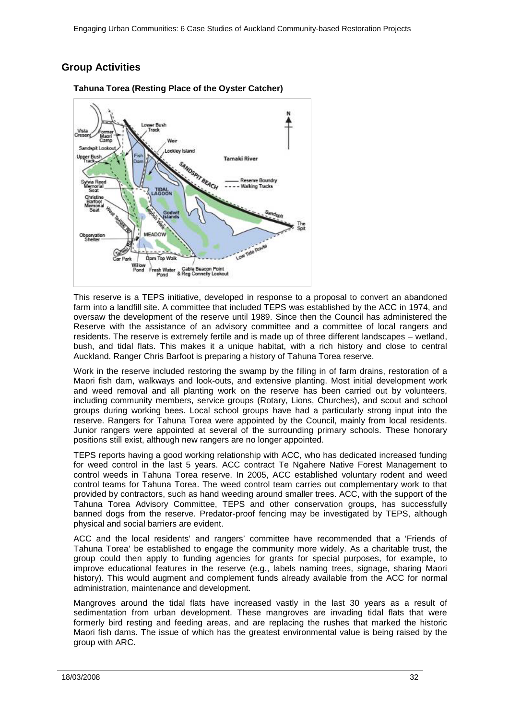# <span id="page-31-0"></span>**Group Activities**



**Tahuna Torea (Resting Place of the Oyster Catcher)**

This reserve is a TEPS initiative, developed in response to a proposal to convert an abandoned farm into a landfill site. A committee that included TEPS was established by the ACC in 1974, and oversaw the development of the reserve until 1989. Since then the Council has administered the Reserve with the assistance of an advisory committee and a committee of local rangers and residents. The reserve is extremely fertile and is made up of three different landscapes – wetland, bush, and tidal flats. This makes it a unique habitat, with a rich history and close to central Auckland. Ranger Chris Barfoot is preparing a history of Tahuna Torea reserve.

Work in the reserve included restoring the swamp by the filling in of farm drains, restoration of a Maori fish dam, walkways and look-outs, and extensive planting. Most initial development work and weed removal and all planting work on the reserve has been carried out by volunteers, including community members, service groups (Rotary, Lions, Churches), and scout and school groups during working bees. Local school groups have had a particularly strong input into the reserve. Rangers for Tahuna Torea were appointed by the Council, mainly from local residents. Junior rangers were appointed at several of the surrounding primary schools. These honorary positions still exist, although new rangers are no longer appointed.

TEPS reports having a good working relationship with ACC, who has dedicated increased funding for weed control in the last 5 years. ACC contract Te Ngahere Native Forest Management to control weeds in Tahuna Torea reserve. In 2005, ACC established voluntary rodent and weed control teams for Tahuna Torea. The weed control team carries out complementary work to that provided by contractors, such as hand weeding around smaller trees. ACC, with the support of the Tahuna Torea Advisory Committee, TEPS and other conservation groups, has successfully banned dogs from the reserve. Predator-proof fencing may be investigated by TEPS, although physical and social barriers are evident.

ACC and the local residents' and rangers' committee have recommended that a 'Friends of Tahuna Torea' be established to engage the community more widely. As a charitable trust, the group could then apply to funding agencies for grants for special purposes, for example, to improve educational features in the reserve (e.g., labels naming trees, signage, sharing Maori history). This would augment and complement funds already available from the ACC for normal administration, maintenance and development.

Mangroves around the tidal flats have increased vastly in the last 30 years as a result of sedimentation from urban development. These mangroves are invading tidal flats that were formerly bird resting and feeding areas, and are replacing the rushes that marked the historic Maori fish dams. The issue of which has the greatest environmental value is being raised by the group with ARC.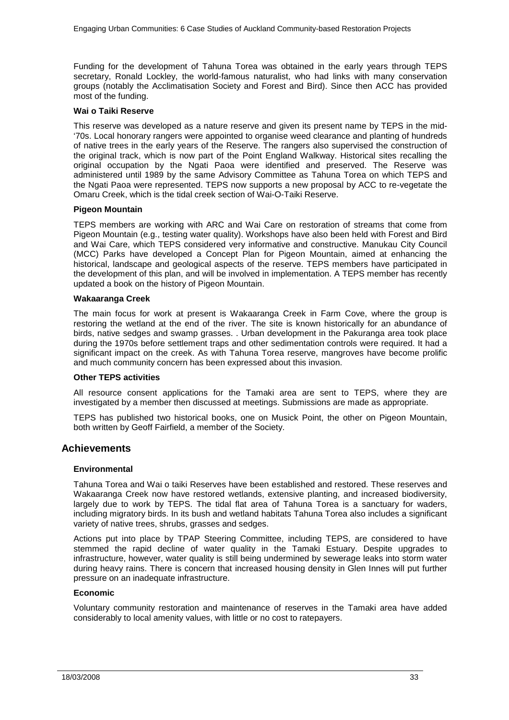Funding for the development of Tahuna Torea was obtained in the early years through TEPS secretary, Ronald Lockley, the world-famous naturalist, who had links with many conservation groups (notably the Acclimatisation Society and Forest and Bird). Since then ACC has provided most of the funding.

### **Wai o Taiki Reserve**

This reserve was developed as a nature reserve and given its present name by TEPS in the mid- '70s. Local honorary rangers were appointed to organise weed clearance and planting of hundreds of native trees in the early years of the Reserve. The rangers also supervised the construction of the original track, which is now part of the Point England Walkway. Historical sites recalling the original occupation by the Ngati Paoa were identified and preserved. The Reserve was administered until 1989 by the same Advisory Committee as Tahuna Torea on which TEPS and the Ngati Paoa were represented. TEPS now supports a new proposal by ACC to re-vegetate the Omaru Creek, which is the tidal creek section of Wai-O-Taiki Reserve.

### **Pigeon Mountain**

TEPS members are working with ARC and Wai Care on restoration of streams that come from Pigeon Mountain (e.g., testing water quality). Workshops have also been held with Forest and Bird and Wai Care, which TEPS considered very informative and constructive. Manukau City Council (MCC) Parks have developed a Concept Plan for Pigeon Mountain, aimed at enhancing the historical, landscape and geological aspects of the reserve. TEPS members have participated in the development of this plan, and will be involved in implementation. A TEPS member has recently updated a book on the history of Pigeon Mountain.

### **Wakaaranga Creek**

The main focus for work at present is Wakaaranga Creek in Farm Cove, where the group is restoring the wetland at the end of the river. The site is known historically for an abundance of birds, native sedges and swamp grasses. . Urban development in the Pakuranga area took place during the 1970s before settlement traps and other sedimentation controls were required. It had a significant impact on the creek. As with Tahuna Torea reserve, mangroves have become prolific and much community concern has been expressed about this invasion.

### **Other TEPS activities**

All resource consent applications for the Tamaki area are sent to TEPS, where they are investigated by a member then discussed at meetings. Submissions are made as appropriate.

TEPS has published two historical books, one on Musick Point, the other on Pigeon Mountain, both written by Geoff Fairfield, a member of the Society.

### <span id="page-32-0"></span>**Achievements**

### **Environmental**

Tahuna Torea and Wai o taiki Reserves have been established and restored. These reserves and Wakaaranga Creek now have restored wetlands, extensive planting, and increased biodiversity, largely due to work by TEPS. The tidal flat area of Tahuna Torea is a sanctuary for waders, including migratory birds. In its bush and wetland habitats Tahuna Torea also includes a significant variety of native trees, shrubs, grasses and sedges.

Actions put into place by TPAP Steering Committee, including TEPS, are considered to have stemmed the rapid decline of water quality in the Tamaki Estuary. Despite upgrades to infrastructure, however, water quality is still being undermined by sewerage leaks into storm water during heavy rains. There is concern that increased housing density in Glen Innes will put further pressure on an inadequate infrastructure.

### **Economic**

Voluntary community restoration and maintenance of reserves in the Tamaki area have added considerably to local amenity values, with little or no cost to ratepayers.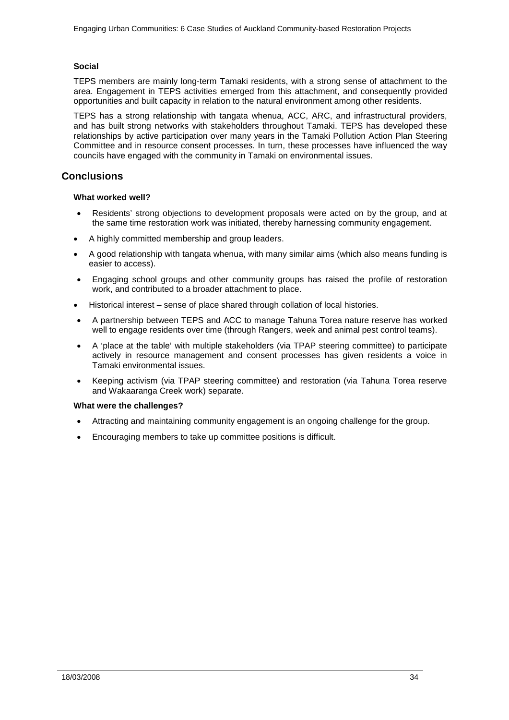### **Social**

TEPS members are mainly long-term Tamaki residents, with a strong sense of attachment to the area. Engagement in TEPS activities emerged from this attachment, and consequently provided opportunities and built capacity in relation to the natural environment among other residents.

TEPS has a strong relationship with tangata whenua, ACC, ARC, and infrastructural providers, and has built strong networks with stakeholders throughout Tamaki. TEPS has developed these relationships by active participation over many years in the Tamaki Pollution Action Plan Steering Committee and in resource consent processes. In turn, these processes have influenced the way councils have engaged with the community in Tamaki on environmental issues.

### <span id="page-33-0"></span>**Conclusions**

### **What worked well?**

- Residents' strong objections to development proposals were acted on by the group, and at the same time restoration work was initiated, thereby harnessing community engagement.
- A highly committed membership and group leaders.
- A good relationship with tangata whenua, with many similar aims (which also means funding is easier to access).
- Engaging school groups and other community groups has raised the profile of restoration work, and contributed to a broader attachment to place.
- Historical interest sense of place shared through collation of local histories.
- A partnership between TEPS and ACC to manage Tahuna Torea nature reserve has worked well to engage residents over time (through Rangers, week and animal pest control teams).
- A 'place at the table' with multiple stakeholders (via TPAP steering committee) to participate actively in resource management and consent processes has given residents a voice in Tamaki environmental issues.
- Keeping activism (via TPAP steering committee) and restoration (via Tahuna Torea reserve and Wakaaranga Creek work) separate.

### **What were the challenges?**

- Attracting and maintaining community engagement is an ongoing challenge for the group.
- Encouraging members to take up committee positions is difficult.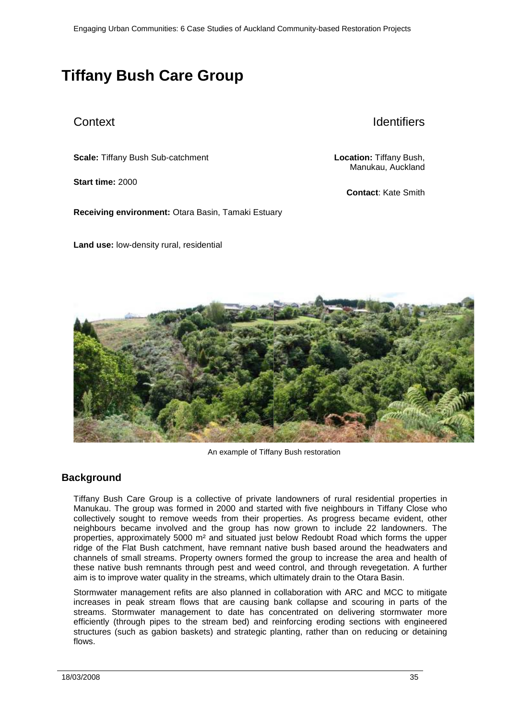# <span id="page-34-0"></span>**Tiffany Bush Care Group**

# Context Identifiers

**Scale:** Tiffany Bush Sub-catchment **Location:** Tiffany Bush,

**Start time:** 2000

**Receiving environment:** Otara Basin, Tamaki Estuary

**Land use:** low-density rural, residential

Manukau, Auckland

**Contact**: Kate Smith



An example of Tiffany Bush restoration

# <span id="page-34-1"></span>**Background**

Tiffany Bush Care Group is a collective of private landowners of rural residential properties in Manukau. The group was formed in 2000 and started with five neighbours in Tiffany Close who collectively sought to remove weeds from their properties. As progress became evident, other neighbours became involved and the group has now grown to include 22 landowners. The properties, approximately 5000 m² and situated just below Redoubt Road which forms the upper ridge of the Flat Bush catchment, have remnant native bush based around the headwaters and channels of small streams. Property owners formed the group to increase the area and health of these native bush remnants through pest and weed control, and through revegetation. A further aim is to improve water quality in the streams, which ultimately drain to the Otara Basin.

Stormwater management refits are also planned in collaboration with ARC and MCC to mitigate increases in peak stream flows that are causing bank collapse and scouring in parts of the streams. Stormwater management to date has concentrated on delivering stormwater more efficiently (through pipes to the stream bed) and reinforcing eroding sections with engineered structures (such as gabion baskets) and strategic planting, rather than on reducing or detaining flows.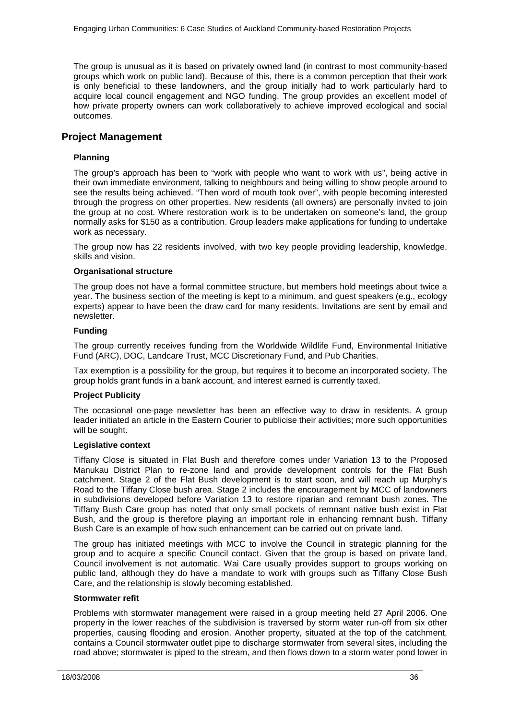The group is unusual as it is based on privately owned land (in contrast to most community-based groups which work on public land). Because of this, there is a common perception that their work is only beneficial to these landowners, and the group initially had to work particularly hard to acquire local council engagement and NGO funding. The group provides an excellent model of how private property owners can work collaboratively to achieve improved ecological and social outcomes.

### <span id="page-35-0"></span>**Project Management**

### **Planning**

The group's approach has been to "work with people who want to work with us", being active in their own immediate environment, talking to neighbours and being willing to show people around to see the results being achieved. "Then word of mouth took over", with people becoming interested through the progress on other properties. New residents (all owners) are personally invited to join the group at no cost. Where restoration work is to be undertaken on someone's land, the group normally asks for \$150 as a contribution. Group leaders make applications for funding to undertake work as necessary.

The group now has 22 residents involved, with two key people providing leadership, knowledge, skills and vision.

### **Organisational structure**

The group does not have a formal committee structure, but members hold meetings about twice a year. The business section of the meeting is kept to a minimum, and guest speakers (e.g., ecology experts) appear to have been the draw card for many residents. Invitations are sent by email and newsletter.

### **Funding**

The group currently receives funding from the Worldwide Wildlife Fund, Environmental Initiative Fund (ARC), DOC, Landcare Trust, MCC Discretionary Fund, and Pub Charities.

Tax exemption is a possibility for the group, but requires it to become an incorporated society. The group holds grant funds in a bank account, and interest earned is currently taxed.

### **Project Publicity**

The occasional one-page newsletter has been an effective way to draw in residents. A group leader initiated an article in the Eastern Courier to publicise their activities; more such opportunities will be sought.

### **Legislative context**

Tiffany Close is situated in Flat Bush and therefore comes under Variation 13 to the Proposed Manukau District Plan to re-zone land and provide development controls for the Flat Bush catchment. Stage 2 of the Flat Bush development is to start soon, and will reach up Murphy's Road to the Tiffany Close bush area. Stage 2 includes the encouragement by MCC of landowners in subdivisions developed before Variation 13 to restore riparian and remnant bush zones. The Tiffany Bush Care group has noted that only small pockets of remnant native bush exist in Flat Bush, and the group is therefore playing an important role in enhancing remnant bush. Tiffany Bush Care is an example of how such enhancement can be carried out on private land.

The group has initiated meetings with MCC to involve the Council in strategic planning for the group and to acquire a specific Council contact. Given that the group is based on private land, Council involvement is not automatic. Wai Care usually provides support to groups working on public land, although they do have a mandate to work with groups such as Tiffany Close Bush Care, and the relationship is slowly becoming established.

### **Stormwater refit**

Problems with stormwater management were raised in a group meeting held 27 April 2006. One property in the lower reaches of the subdivision is traversed by storm water run-off from six other properties, causing flooding and erosion. Another property, situated at the top of the catchment, contains a Council stormwater outlet pipe to discharge stormwater from several sites, including the road above; stormwater is piped to the stream, and then flows down to a storm water pond lower in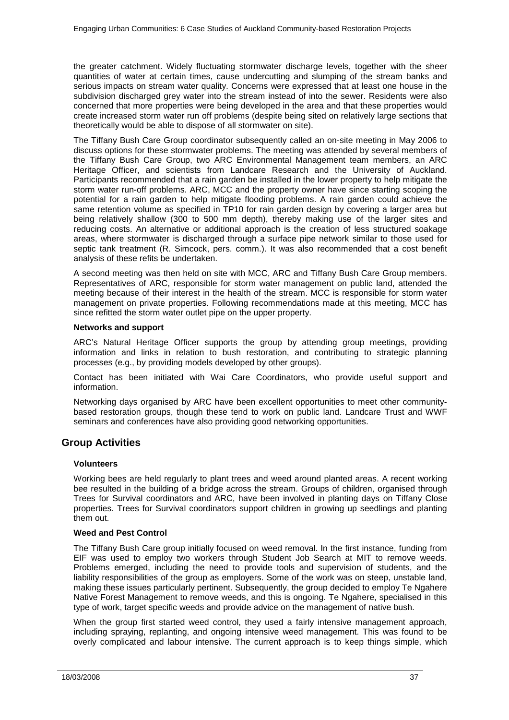the greater catchment. Widely fluctuating stormwater discharge levels, together with the sheer quantities of water at certain times, cause undercutting and slumping of the stream banks and serious impacts on stream water quality. Concerns were expressed that at least one house in the subdivision discharged grey water into the stream instead of into the sewer. Residents were also concerned that more properties were being developed in the area and that these properties would create increased storm water run off problems (despite being sited on relatively large sections that theoretically would be able to dispose of all stormwater on site).

The Tiffany Bush Care Group coordinator subsequently called an on-site meeting in May 2006 to discuss options for these stormwater problems. The meeting was attended by several members of the Tiffany Bush Care Group, two ARC Environmental Management team members, an ARC Heritage Officer, and scientists from Landcare Research and the University of Auckland. Participants recommended that a rain garden be installed in the lower property to help mitigate the storm water run-off problems. ARC, MCC and the property owner have since starting scoping the potential for a rain garden to help mitigate flooding problems. A rain garden could achieve the same retention volume as specified in TP10 for rain garden design by covering a larger area but being relatively shallow (300 to 500 mm depth), thereby making use of the larger sites and reducing costs. An alternative or additional approach is the creation of less structured soakage areas, where stormwater is discharged through a surface pipe network similar to those used for septic tank treatment (R. Simcock, pers. comm.). It was also recommended that a cost benefit analysis of these refits be undertaken.

A second meeting was then held on site with MCC, ARC and Tiffany Bush Care Group members. Representatives of ARC, responsible for storm water management on public land, attended the meeting because of their interest in the health of the stream. MCC is responsible for storm water management on private properties. Following recommendations made at this meeting, MCC has since refitted the storm water outlet pipe on the upper property.

### **Networks and support**

ARC's Natural Heritage Officer supports the group by attending group meetings, providing information and links in relation to bush restoration, and contributing to strategic planning processes (e.g., by providing models developed by other groups).

Contact has been initiated with Wai Care Coordinators, who provide useful support and information.

Networking days organised by ARC have been excellent opportunities to meet other communitybased restoration groups, though these tend to work on public land. Landcare Trust and WWF seminars and conferences have also providing good networking opportunities.

## <span id="page-36-0"></span>**Group Activities**

### **Volunteers**

Working bees are held regularly to plant trees and weed around planted areas. A recent working bee resulted in the building of a bridge across the stream. Groups of children, organised through Trees for Survival coordinators and ARC, have been involved in planting days on Tiffany Close properties. Trees for Survival coordinators support children in growing up seedlings and planting them out.

### **Weed and Pest Control**

The Tiffany Bush Care group initially focused on weed removal. In the first instance, funding from EIF was used to employ two workers through Student Job Search at MIT to remove weeds. Problems emerged, including the need to provide tools and supervision of students, and the liability responsibilities of the group as employers. Some of the work was on steep, unstable land, making these issues particularly pertinent. Subsequently, the group decided to employ Te Ngahere Native Forest Management to remove weeds, and this is ongoing. Te Ngahere, specialised in this type of work, target specific weeds and provide advice on the management of native bush.

When the group first started weed control, they used a fairly intensive management approach, including spraying, replanting, and ongoing intensive weed management. This was found to be overly complicated and labour intensive. The current approach is to keep things simple, which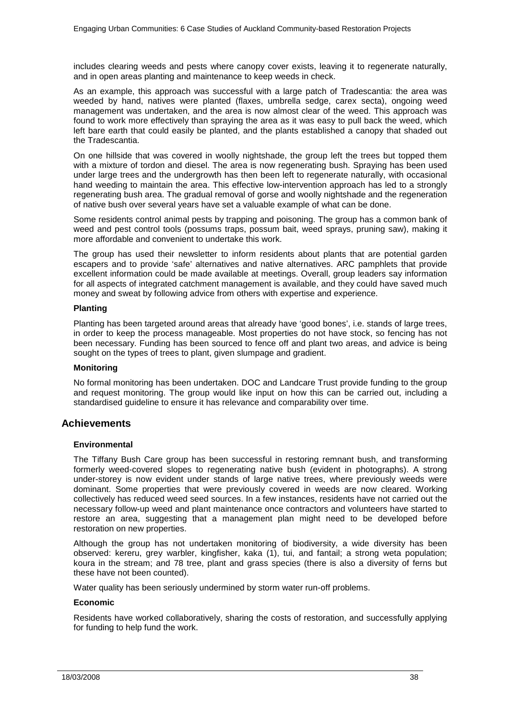includes clearing weeds and pests where canopy cover exists, leaving it to regenerate naturally, and in open areas planting and maintenance to keep weeds in check.

As an example, this approach was successful with a large patch of Tradescantia: the area was weeded by hand, natives were planted (flaxes, umbrella sedge, carex secta), ongoing weed management was undertaken, and the area is now almost clear of the weed. This approach was found to work more effectively than spraying the area as it was easy to pull back the weed, which left bare earth that could easily be planted, and the plants established a canopy that shaded out the Tradescantia.

On one hillside that was covered in woolly nightshade, the group left the trees but topped them with a mixture of tordon and diesel. The area is now regenerating bush. Spraying has been used under large trees and the undergrowth has then been left to regenerate naturally, with occasional hand weeding to maintain the area. This effective low-intervention approach has led to a strongly regenerating bush area. The gradual removal of gorse and woolly nightshade and the regeneration of native bush over several years have set a valuable example of what can be done.

Some residents control animal pests by trapping and poisoning. The group has a common bank of weed and pest control tools (possums traps, possum bait, weed sprays, pruning saw), making it more affordable and convenient to undertake this work.

The group has used their newsletter to inform residents about plants that are potential garden escapers and to provide 'safe' alternatives and native alternatives. ARC pamphlets that provide excellent information could be made available at meetings. Overall, group leaders say information for all aspects of integrated catchment management is available, and they could have saved much money and sweat by following advice from others with expertise and experience.

### **Planting**

Planting has been targeted around areas that already have 'good bones', i.e. stands of large trees, in order to keep the process manageable. Most properties do not have stock, so fencing has not been necessary. Funding has been sourced to fence off and plant two areas, and advice is being sought on the types of trees to plant, given slumpage and gradient.

### **Monitoring**

No formal monitoring has been undertaken. DOC and Landcare Trust provide funding to the group and request monitoring. The group would like input on how this can be carried out, including a standardised guideline to ensure it has relevance and comparability over time.

### <span id="page-37-0"></span>**Achievements**

### **Environmental**

The Tiffany Bush Care group has been successful in restoring remnant bush, and transforming formerly weed-covered slopes to regenerating native bush (evident in photographs). A strong under-storey is now evident under stands of large native trees, where previously weeds were dominant. Some properties that were previously covered in weeds are now cleared. Working collectively has reduced weed seed sources. In a few instances, residents have not carried out the necessary follow-up weed and plant maintenance once contractors and volunteers have started to restore an area, suggesting that a management plan might need to be developed before restoration on new properties.

Although the group has not undertaken monitoring of biodiversity, a wide diversity has been observed: kereru, grey warbler, kingfisher, kaka (1), tui, and fantail; a strong weta population; koura in the stream; and 78 tree, plant and grass species (there is also a diversity of ferns but these have not been counted).

Water quality has been seriously undermined by storm water run-off problems.

### **Economic**

Residents have worked collaboratively, sharing the costs of restoration, and successfully applying for funding to help fund the work.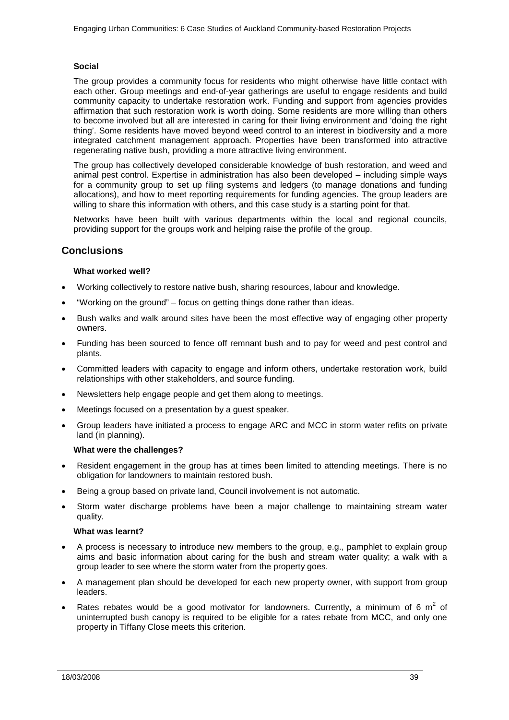### **Social**

The group provides a community focus for residents who might otherwise have little contact with each other. Group meetings and end-of-year gatherings are useful to engage residents and build community capacity to undertake restoration work. Funding and support from agencies provides affirmation that such restoration work is worth doing. Some residents are more willing than others to become involved but all are interested in caring for their living environment and 'doing the right thing'. Some residents have moved beyond weed control to an interest in biodiversity and a more integrated catchment management approach. Properties have been transformed into attractive regenerating native bush, providing a more attractive living environment.

The group has collectively developed considerable knowledge of bush restoration, and weed and animal pest control. Expertise in administration has also been developed – including simple ways for a community group to set up filing systems and ledgers (to manage donations and funding allocations), and how to meet reporting requirements for funding agencies. The group leaders are willing to share this information with others, and this case study is a starting point for that.

Networks have been built with various departments within the local and regional councils, providing support for the groups work and helping raise the profile of the group.

## <span id="page-38-0"></span>**Conclusions**

### **What worked well?**

- Working collectively to restore native bush, sharing resources, labour and knowledge.
- "Working on the ground" focus on getting things done rather than ideas.
- Bush walks and walk around sites have been the most effective way of engaging other property owners.
- Funding has been sourced to fence off remnant bush and to pay for weed and pest control and plants.
- Committed leaders with capacity to engage and inform others, undertake restoration work, build relationships with other stakeholders, and source funding.
- Newsletters help engage people and get them along to meetings.
- Meetings focused on a presentation by a guest speaker.
- Group leaders have initiated a process to engage ARC and MCC in storm water refits on private land (in planning).

### **What were the challenges?**

- Resident engagement in the group has at times been limited to attending meetings. There is no obligation for landowners to maintain restored bush.
- Being a group based on private land, Council involvement is not automatic.
- Storm water discharge problems have been a major challenge to maintaining stream water quality.

### **What was learnt?**

- A process is necessary to introduce new members to the group, e.g., pamphlet to explain group aims and basic information about caring for the bush and stream water quality; a walk with a group leader to see where the storm water from the property goes.
- A management plan should be developed for each new property owner, with support from group leaders.
- Rates rebates would be a good motivator for landowners. Currently, a minimum of 6  $m^2$  of uninterrupted bush canopy is required to be eligible for a rates rebate from MCC, and only one property in Tiffany Close meets this criterion.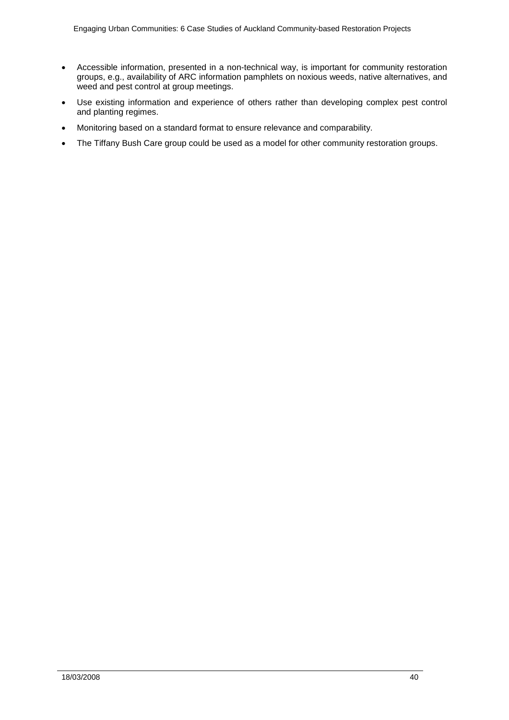- Accessible information, presented in a non-technical way, is important for community restoration groups, e.g., availability of ARC information pamphlets on noxious weeds, native alternatives, and weed and pest control at group meetings.
- Use existing information and experience of others rather than developing complex pest control and planting regimes.
- Monitoring based on a standard format to ensure relevance and comparability.
- The Tiffany Bush Care group could be used as a model for other community restoration groups.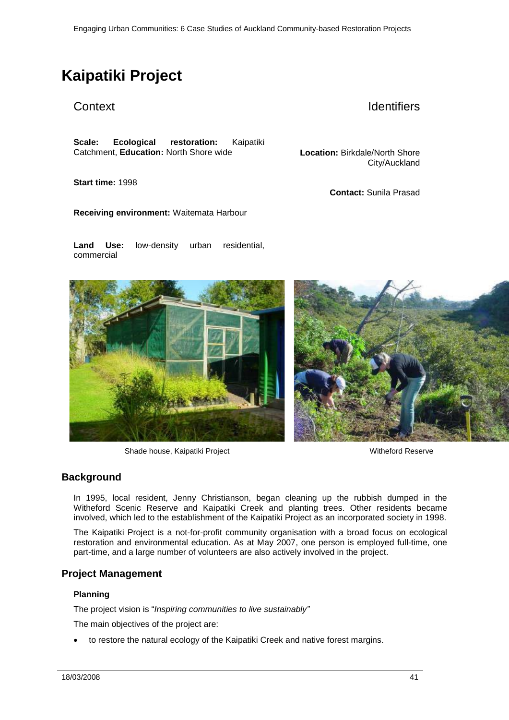# <span id="page-40-0"></span>**Kaipatiki Project**

# Context **Identifiers**

City/Auckland

**Contact:** Sunila Prasad

**Scale: Ecological restoration:** Kaipatiki Catchment, **Education:** North Shore wide **Location:** Birkdale/North Shore

**Start time:** 1998

**Receiving environment:** Waitemata Harbour

**Land Use:** low-density urban residential, commercial

Shade house, Kaipatiki Project Witheford Reserve

## <span id="page-40-1"></span>**Background**

In 1995, local resident, Jenny Christianson, began cleaning up the rubbish dumped in the Witheford Scenic Reserve and Kaipatiki Creek and planting trees. Other residents became involved, which led to the establishment of the Kaipatiki Project as an incorporated society in 1998.

The Kaipatiki Project is a not-for-profit community organisation with a broad focus on ecological restoration and environmental education. As at May 2007, one person is employed full-time, one part-time, and a large number of volunteers are also actively involved in the project.

### <span id="page-40-2"></span>**Project Management**

### **Planning**

The project vision is "*Inspiring communities to live sustainably"*

The main objectives of the project are:

• to restore the natural ecology of the Kaipatiki Creek and native forest margins.

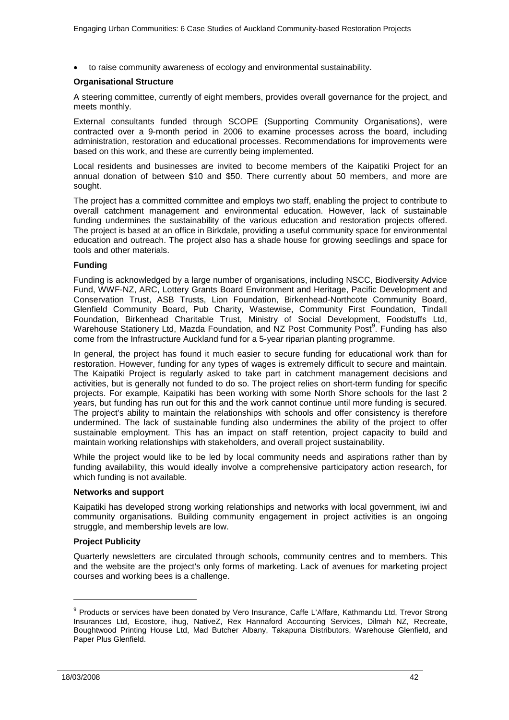• to raise community awareness of ecology and environmental sustainability.

### **Organisational Structure**

A steering committee, currently of eight members, provides overall governance for the project, and meets monthly.

External consultants funded through SCOPE (Supporting Community Organisations), were contracted over a 9-month period in 2006 to examine processes across the board, including administration, restoration and educational processes. Recommendations for improvements were based on this work, and these are currently being implemented.

Local residents and businesses are invited to become members of the Kaipatiki Project for an annual donation of between \$10 and \$50. There currently about 50 members, and more are sought.

The project has a committed committee and employs two staff, enabling the project to contribute to overall catchment management and environmental education. However, lack of sustainable funding undermines the sustainability of the various education and restoration projects offered. The project is based at an office in Birkdale, providing a useful community space for environmental education and outreach. The project also has a shade house for growing seedlings and space for tools and other materials.

### **Funding**

Funding is acknowledged by a large number of organisations, including NSCC, Biodiversity Advice Fund, WWF-NZ, ARC, Lottery Grants Board Environment and Heritage, Pacific Development and Conservation Trust, ASB Trusts, Lion Foundation, Birkenhead-Northcote Community Board, Glenfield Community Board, Pub Charity, Wastewise, Community First Foundation, Tindall Foundation, Birkenhead Charitable Trust, Ministry of Social Development, Foodstuffs Ltd, Warehouse Stationery Ltd, Mazda Foundation, and NZ Post Community Post<sup>9</sup>. Funding has also come from the Infrastructure Auckland fund for a 5-year riparian planting programme.

In general, the project has found it much easier to secure funding for educational work than for restoration. However, funding for any types of wages is extremely difficult to secure and maintain. The Kaipatiki Project is regularly asked to take part in catchment management decisions and activities, but is generally not funded to do so. The project relies on short-term funding for specific projects. For example, Kaipatiki has been working with some North Shore schools for the last 2 years, but funding has run out for this and the work cannot continue until more funding is secured. The project's ability to maintain the relationships with schools and offer consistency is therefore undermined. The lack of sustainable funding also undermines the ability of the project to offer sustainable employment. This has an impact on staff retention, project capacity to build and maintain working relationships with stakeholders, and overall project sustainability.

While the project would like to be led by local community needs and aspirations rather than by funding availability, this would ideally involve a comprehensive participatory action research, for which funding is not available.

### **Networks and support**

Kaipatiki has developed strong working relationships and networks with local government, iwi and community organisations. Building community engagement in project activities is an ongoing struggle, and membership levels are low.

### **Project Publicity**

Quarterly newsletters are circulated through schools, community centres and to members. This and the website are the project's only forms of marketing. Lack of avenues for marketing project courses and working bees is a challenge.

j

<sup>&</sup>lt;sup>9</sup> Products or services have been donated by Vero Insurance, Caffe L'Affare, Kathmandu Ltd, Trevor Strong Insurances Ltd, Ecostore, ihug, NativeZ, Rex Hannaford Accounting Services, Dilmah NZ, Recreate, Boughtwood Printing House Ltd, Mad Butcher Albany, Takapuna Distributors, Warehouse Glenfield, and Paper Plus Glenfield.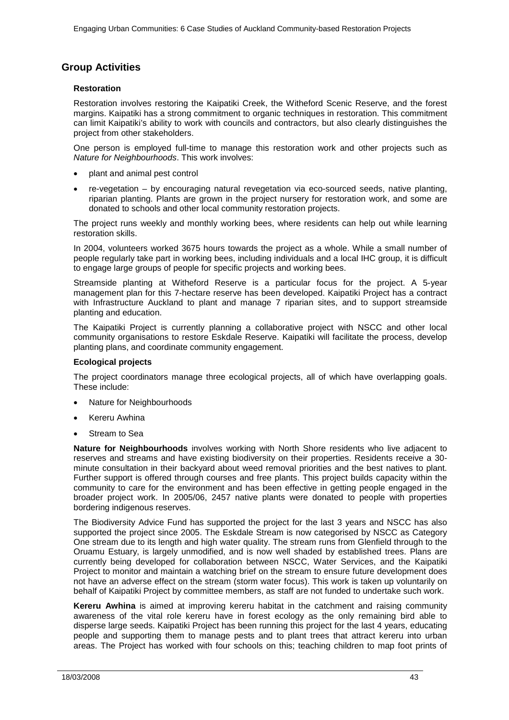# <span id="page-42-0"></span>**Group Activities**

### **Restoration**

Restoration involves restoring the Kaipatiki Creek, the Witheford Scenic Reserve, and the forest margins. Kaipatiki has a strong commitment to organic techniques in restoration. This commitment can limit Kaipatiki's ability to work with councils and contractors, but also clearly distinguishes the project from other stakeholders.

One person is employed full-time to manage this restoration work and other projects such as *Nature for Neighbourhoods*. This work involves:

- plant and animal pest control
- re-vegetation by encouraging natural revegetation via eco-sourced seeds, native planting, riparian planting. Plants are grown in the project nursery for restoration work, and some are donated to schools and other local community restoration projects.

The project runs weekly and monthly working bees, where residents can help out while learning restoration skills.

In 2004, volunteers worked 3675 hours towards the project as a whole. While a small number of people regularly take part in working bees, including individuals and a local IHC group, it is difficult to engage large groups of people for specific projects and working bees.

Streamside planting at Witheford Reserve is a particular focus for the project. A 5-year management plan for this 7-hectare reserve has been developed. Kaipatiki Project has a contract with Infrastructure Auckland to plant and manage 7 riparian sites, and to support streamside planting and education.

The Kaipatiki Project is currently planning a collaborative project with NSCC and other local community organisations to restore Eskdale Reserve. Kaipatiki will facilitate the process, develop planting plans, and coordinate community engagement.

### **Ecological projects**

The project coordinators manage three ecological projects, all of which have overlapping goals. These include:

- Nature for Neighbourhoods
- **Kereru Awhina**
- Stream to Sea

**Nature for Neighbourhoods** involves working with North Shore residents who live adjacent to reserves and streams and have existing biodiversity on their properties. Residents receive a 30 minute consultation in their backyard about weed removal priorities and the best natives to plant. Further support is offered through courses and free plants. This project builds capacity within the community to care for the environment and has been effective in getting people engaged in the broader project work. In 2005/06, 2457 native plants were donated to people with properties bordering indigenous reserves.

The Biodiversity Advice Fund has supported the project for the last 3 years and NSCC has also supported the project since 2005. The Eskdale Stream is now categorised by NSCC as Category One stream due to its length and high water quality. The stream runs from Glenfield through to the Oruamu Estuary, is largely unmodified, and is now well shaded by established trees. Plans are currently being developed for collaboration between NSCC, Water Services, and the Kaipatiki Project to monitor and maintain a watching brief on the stream to ensure future development does not have an adverse effect on the stream (storm water focus). This work is taken up voluntarily on behalf of Kaipatiki Project by committee members, as staff are not funded to undertake such work.

**Kereru Awhina** is aimed at improving kereru habitat in the catchment and raising community awareness of the vital role kereru have in forest ecology as the only remaining bird able to disperse large seeds. Kaipatiki Project has been running this project for the last 4 years, educating people and supporting them to manage pests and to plant trees that attract kereru into urban areas. The Project has worked with four schools on this; teaching children to map foot prints of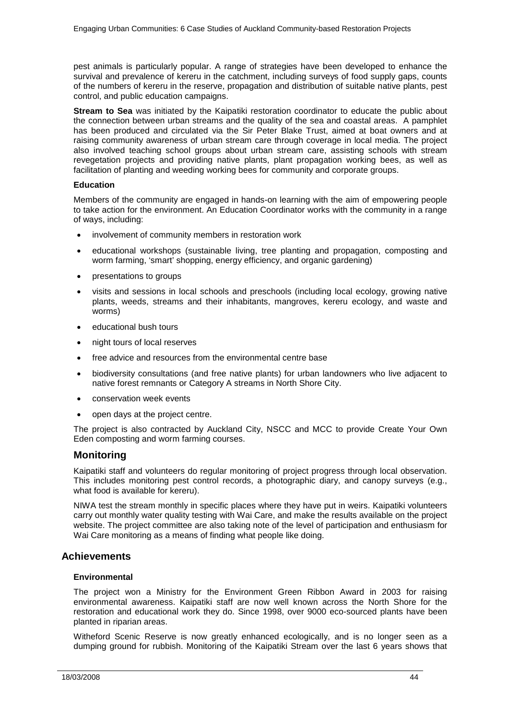pest animals is particularly popular. A range of strategies have been developed to enhance the survival and prevalence of kereru in the catchment, including surveys of food supply gaps, counts of the numbers of kereru in the reserve, propagation and distribution of suitable native plants, pest control, and public education campaigns.

**Stream to Sea** was initiated by the Kaipatiki restoration coordinator to educate the public about the connection between urban streams and the quality of the sea and coastal areas. A pamphlet has been produced and circulated via the Sir Peter Blake Trust, aimed at boat owners and at raising community awareness of urban stream care through coverage in local media. The project also involved teaching school groups about urban stream care, assisting schools with stream revegetation projects and providing native plants, plant propagation working bees, as well as facilitation of planting and weeding working bees for community and corporate groups.

### **Education**

Members of the community are engaged in hands-on learning with the aim of empowering people to take action for the environment. An Education Coordinator works with the community in a range of ways, including:

- involvement of community members in restoration work
- educational workshops (sustainable living, tree planting and propagation, composting and worm farming, 'smart' shopping, energy efficiency, and organic gardening)
- presentations to groups
- visits and sessions in local schools and preschools (including local ecology, growing native plants, weeds, streams and their inhabitants, mangroves, kereru ecology, and waste and worms)
- educational bush tours
- night tours of local reserves
- free advice and resources from the environmental centre base
- biodiversity consultations (and free native plants) for urban landowners who live adjacent to native forest remnants or Category A streams in North Shore City.
- conservation week events
- open days at the project centre.

The project is also contracted by Auckland City, NSCC and MCC to provide Create Your Own Eden composting and worm farming courses.

### **Monitoring**

Kaipatiki staff and volunteers do regular monitoring of project progress through local observation. This includes monitoring pest control records, a photographic diary, and canopy surveys (e.g., what food is available for kereru).

NIWA test the stream monthly in specific places where they have put in weirs. Kaipatiki volunteers carry out monthly water quality testing with Wai Care, and make the results available on the project website. The project committee are also taking note of the level of participation and enthusiasm for Wai Care monitoring as a means of finding what people like doing.

### <span id="page-43-0"></span>**Achievements**

### **Environmental**

The project won a Ministry for the Environment Green Ribbon Award in 2003 for raising environmental awareness. Kaipatiki staff are now well known across the North Shore for the restoration and educational work they do. Since 1998, over 9000 eco-sourced plants have been planted in riparian areas.

Witheford Scenic Reserve is now greatly enhanced ecologically, and is no longer seen as a dumping ground for rubbish. Monitoring of the Kaipatiki Stream over the last 6 years shows that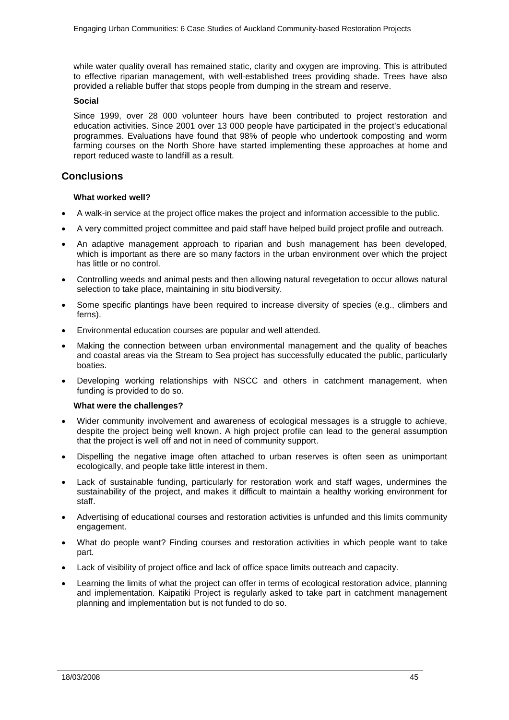while water quality overall has remained static, clarity and oxygen are improving. This is attributed to effective riparian management, with well-established trees providing shade. Trees have also provided a reliable buffer that stops people from dumping in the stream and reserve.

### **Social**

Since 1999, over 28 000 volunteer hours have been contributed to project restoration and education activities. Since 2001 over 13 000 people have participated in the project's educational programmes. Evaluations have found that 98% of people who undertook composting and worm farming courses on the North Shore have started implementing these approaches at home and report reduced waste to landfill as a result.

### <span id="page-44-0"></span>**Conclusions**

### **What worked well?**

- A walk-in service at the project office makes the project and information accessible to the public.
- A very committed project committee and paid staff have helped build project profile and outreach.
- An adaptive management approach to riparian and bush management has been developed, which is important as there are so many factors in the urban environment over which the project has little or no control.
- Controlling weeds and animal pests and then allowing natural revegetation to occur allows natural selection to take place, maintaining in situ biodiversity.
- Some specific plantings have been required to increase diversity of species (e.g., climbers and ferns).
- Environmental education courses are popular and well attended.
- Making the connection between urban environmental management and the quality of beaches and coastal areas via the Stream to Sea project has successfully educated the public, particularly boaties.
- Developing working relationships with NSCC and others in catchment management, when funding is provided to do so.

### **What were the challenges?**

- Wider community involvement and awareness of ecological messages is a struggle to achieve, despite the project being well known. A high project profile can lead to the general assumption that the project is well off and not in need of community support.
- Dispelling the negative image often attached to urban reserves is often seen as unimportant ecologically, and people take little interest in them.
- Lack of sustainable funding, particularly for restoration work and staff wages, undermines the sustainability of the project, and makes it difficult to maintain a healthy working environment for staff.
- Advertising of educational courses and restoration activities is unfunded and this limits community engagement.
- What do people want? Finding courses and restoration activities in which people want to take part.
- Lack of visibility of project office and lack of office space limits outreach and capacity.
- Learning the limits of what the project can offer in terms of ecological restoration advice, planning and implementation. Kaipatiki Project is regularly asked to take part in catchment management planning and implementation but is not funded to do so.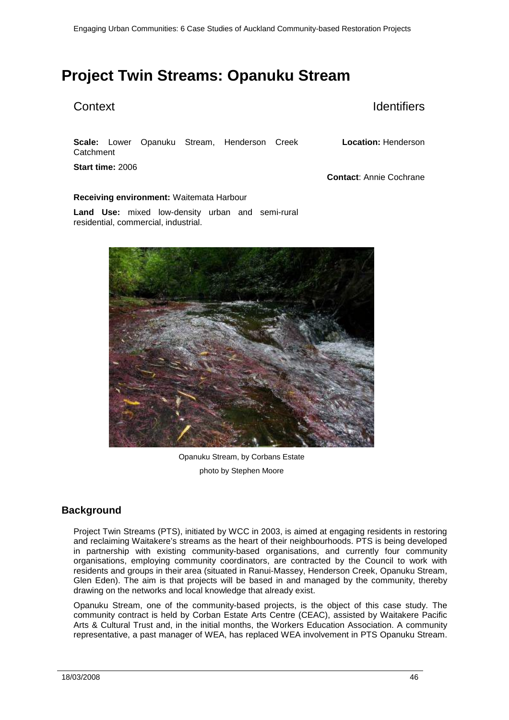# <span id="page-45-0"></span>**Project Twin Streams: Opanuku Stream**

# Context **Identifiers**

**Scale:** Lower Opanuku Stream, Henderson Creek **Catchment** 

**Start time:** 2006

**Location:** Henderson

**Contact**: Annie Cochrane

### **Receiving environment:** Waitemata Harbour

**Land Use:** mixed low-density urban and semi-rural residential, commercial, industrial.



Opanuku Stream, by Corbans Estate photo by Stephen Moore

# <span id="page-45-1"></span>**Background**

Project Twin Streams (PTS), initiated by WCC in 2003, is aimed at engaging residents in restoring and reclaiming Waitakere's streams as the heart of their neighbourhoods. PTS is being developed in partnership with existing community-based organisations, and currently four community organisations, employing community coordinators, are contracted by the Council to work with residents and groups in their area (situated in Ranui-Massey, Henderson Creek, Opanuku Stream, Glen Eden). The aim is that projects will be based in and managed by the community, thereby drawing on the networks and local knowledge that already exist.

Opanuku Stream, one of the community-based projects, is the object of this case study. The community contract is held by Corban Estate Arts Centre (CEAC), assisted by Waitakere Pacific Arts & Cultural Trust and, in the initial months, the Workers Education Association. A community representative, a past manager of WEA, has replaced WEA involvement in PTS Opanuku Stream.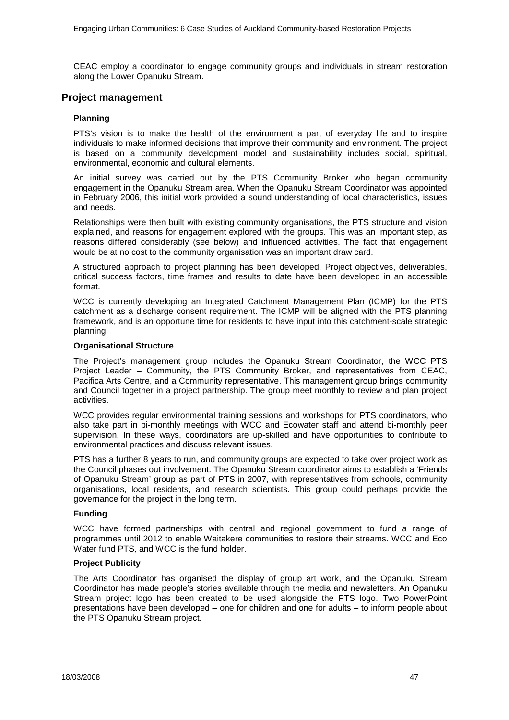CEAC employ a coordinator to engage community groups and individuals in stream restoration along the Lower Opanuku Stream.

### <span id="page-46-0"></span>**Project management**

### **Planning**

PTS's vision is to make the health of the environment a part of everyday life and to inspire individuals to make informed decisions that improve their community and environment. The project is based on a community development model and sustainability includes social, spiritual, environmental, economic and cultural elements.

An initial survey was carried out by the PTS Community Broker who began community engagement in the Opanuku Stream area. When the Opanuku Stream Coordinator was appointed in February 2006, this initial work provided a sound understanding of local characteristics, issues and needs.

Relationships were then built with existing community organisations, the PTS structure and vision explained, and reasons for engagement explored with the groups. This was an important step, as reasons differed considerably (see below) and influenced activities. The fact that engagement would be at no cost to the community organisation was an important draw card.

A structured approach to project planning has been developed. Project objectives, deliverables, critical success factors, time frames and results to date have been developed in an accessible format.

WCC is currently developing an Integrated Catchment Management Plan (ICMP) for the PTS catchment as a discharge consent requirement. The ICMP will be aligned with the PTS planning framework, and is an opportune time for residents to have input into this catchment-scale strategic planning.

### **Organisational Structure**

The Project's management group includes the Opanuku Stream Coordinator, the WCC PTS Project Leader – Community, the PTS Community Broker, and representatives from CEAC, Pacifica Arts Centre, and a Community representative. This management group brings community and Council together in a project partnership. The group meet monthly to review and plan project activities.

WCC provides regular environmental training sessions and workshops for PTS coordinators, who also take part in bi-monthly meetings with WCC and Ecowater staff and attend bi-monthly peer supervision. In these ways, coordinators are up-skilled and have opportunities to contribute to environmental practices and discuss relevant issues.

PTS has a further 8 years to run, and community groups are expected to take over project work as the Council phases out involvement. The Opanuku Stream coordinator aims to establish a 'Friends of Opanuku Stream' group as part of PTS in 2007, with representatives from schools, community organisations, local residents, and research scientists. This group could perhaps provide the governance for the project in the long term.

### **Funding**

WCC have formed partnerships with central and regional government to fund a range of programmes until 2012 to enable Waitakere communities to restore their streams. WCC and Eco Water fund PTS, and WCC is the fund holder.

### **Project Publicity**

The Arts Coordinator has organised the display of group art work, and the Opanuku Stream Coordinator has made people's stories available through the media and newsletters. An Opanuku Stream project logo has been created to be used alongside the PTS logo. Two PowerPoint presentations have been developed – one for children and one for adults – to inform people about the PTS Opanuku Stream project.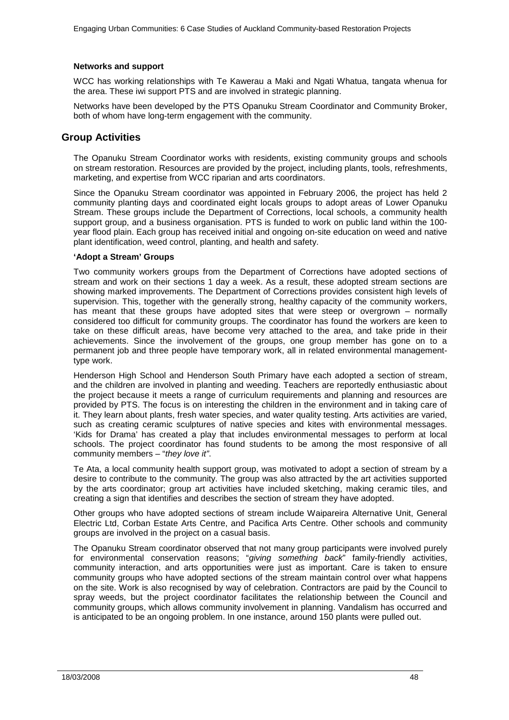### **Networks and support**

WCC has working relationships with Te Kawerau a Maki and Ngati Whatua, tangata whenua for the area. These iwi support PTS and are involved in strategic planning.

Networks have been developed by the PTS Opanuku Stream Coordinator and Community Broker, both of whom have long-term engagement with the community.

### <span id="page-47-0"></span>**Group Activities**

The Opanuku Stream Coordinator works with residents, existing community groups and schools on stream restoration. Resources are provided by the project, including plants, tools, refreshments, marketing, and expertise from WCC riparian and arts coordinators.

Since the Opanuku Stream coordinator was appointed in February 2006, the project has held 2 community planting days and coordinated eight locals groups to adopt areas of Lower Opanuku Stream. These groups include the Department of Corrections, local schools, a community health support group, and a business organisation. PTS is funded to work on public land within the 100 year flood plain. Each group has received initial and ongoing on-site education on weed and native plant identification, weed control, planting, and health and safety.

### **'Adopt a Stream' Groups**

Two community workers groups from the Department of Corrections have adopted sections of stream and work on their sections 1 day a week. As a result, these adopted stream sections are showing marked improvements. The Department of Corrections provides consistent high levels of supervision. This, together with the generally strong, healthy capacity of the community workers, has meant that these groups have adopted sites that were steep or overgrown – normally considered too difficult for community groups. The coordinator has found the workers are keen to take on these difficult areas, have become very attached to the area, and take pride in their achievements. Since the involvement of the groups, one group member has gone on to a permanent job and three people have temporary work, all in related environmental managementtype work.

Henderson High School and Henderson South Primary have each adopted a section of stream, and the children are involved in planting and weeding. Teachers are reportedly enthusiastic about the project because it meets a range of curriculum requirements and planning and resources are provided by PTS. The focus is on interesting the children in the environment and in taking care of it. They learn about plants, fresh water species, and water quality testing. Arts activities are varied, such as creating ceramic sculptures of native species and kites with environmental messages. 'Kids for Drama' has created a play that includes environmental messages to perform at local schools. The project coordinator has found students to be among the most responsive of all community members – "*they love it"*.

Te Ata, a local community health support group, was motivated to adopt a section of stream by a desire to contribute to the community. The group was also attracted by the art activities supported by the arts coordinator; group art activities have included sketching, making ceramic tiles, and creating a sign that identifies and describes the section of stream they have adopted.

Other groups who have adopted sections of stream include Waipareira Alternative Unit, General Electric Ltd, Corban Estate Arts Centre, and Pacifica Arts Centre. Other schools and community groups are involved in the project on a casual basis.

The Opanuku Stream coordinator observed that not many group participants were involved purely for environmental conservation reasons; "*giving something back*" family-friendly activities, community interaction, and arts opportunities were just as important. Care is taken to ensure community groups who have adopted sections of the stream maintain control over what happens on the site. Work is also recognised by way of celebration. Contractors are paid by the Council to spray weeds, but the project coordinator facilitates the relationship between the Council and community groups, which allows community involvement in planning. Vandalism has occurred and is anticipated to be an ongoing problem. In one instance, around 150 plants were pulled out.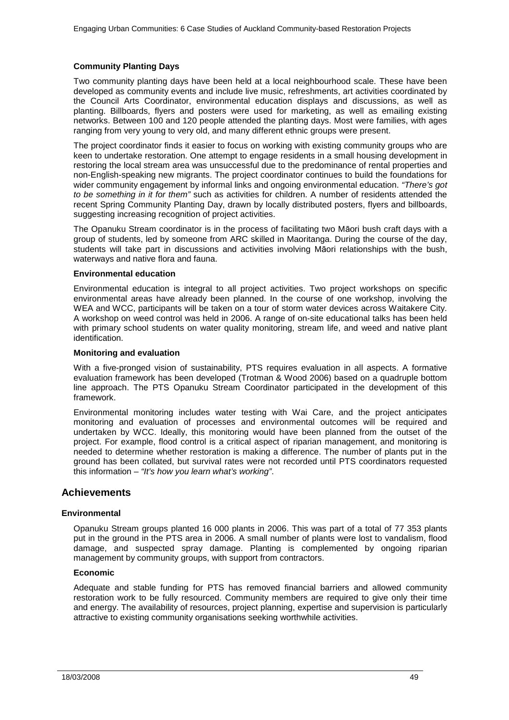### **Community Planting Days**

Two community planting days have been held at a local neighbourhood scale. These have been developed as community events and include live music, refreshments, art activities coordinated by the Council Arts Coordinator, environmental education displays and discussions, as well as planting. Billboards, flyers and posters were used for marketing, as well as emailing existing networks. Between 100 and 120 people attended the planting days. Most were families, with ages ranging from very young to very old, and many different ethnic groups were present.

The project coordinator finds it easier to focus on working with existing community groups who are keen to undertake restoration. One attempt to engage residents in a small housing development in restoring the local stream area was unsuccessful due to the predominance of rental properties and non-English-speaking new migrants. The project coordinator continues to build the foundations for wider community engagement by informal links and ongoing environmental education. *"There's got to be something in it for them"* such as activities for children. A number of residents attended the recent Spring Community Planting Day, drawn by locally distributed posters, flyers and billboards, suggesting increasing recognition of project activities.

The Opanuku Stream coordinator is in the process of facilitating two Māori bush craft days with a group of students, led by someone from ARC skilled in Maoritanga. During the course of the day, students will take part in discussions and activities involving Māori relationships with the bush, waterways and native flora and fauna.

### **Environmental education**

Environmental education is integral to all project activities. Two project workshops on specific environmental areas have already been planned. In the course of one workshop, involving the WEA and WCC, participants will be taken on a tour of storm water devices across Waitakere City. A workshop on weed control was held in 2006. A range of on-site educational talks has been held with primary school students on water quality monitoring, stream life, and weed and native plant identification.

### **Monitoring and evaluation**

With a five-pronged vision of sustainability, PTS requires evaluation in all aspects. A formative evaluation framework has been developed (Trotman & Wood 2006) based on a quadruple bottom line approach. The PTS Opanuku Stream Coordinator participated in the development of this framework.

Environmental monitoring includes water testing with Wai Care, and the project anticipates monitoring and evaluation of processes and environmental outcomes will be required and undertaken by WCC. Ideally, this monitoring would have been planned from the outset of the project. For example, flood control is a critical aspect of riparian management, and monitoring is needed to determine whether restoration is making a difference. The number of plants put in the ground has been collated, but survival rates were not recorded until PTS coordinators requested this information – *"It's how you learn what's working"*.

### <span id="page-48-0"></span>**Achievements**

### **Environmental**

Opanuku Stream groups planted 16 000 plants in 2006. This was part of a total of 77 353 plants put in the ground in the PTS area in 2006. A small number of plants were lost to vandalism, flood damage, and suspected spray damage. Planting is complemented by ongoing riparian management by community groups, with support from contractors.

### **Economic**

Adequate and stable funding for PTS has removed financial barriers and allowed community restoration work to be fully resourced. Community members are required to give only their time and energy. The availability of resources, project planning, expertise and supervision is particularly attractive to existing community organisations seeking worthwhile activities.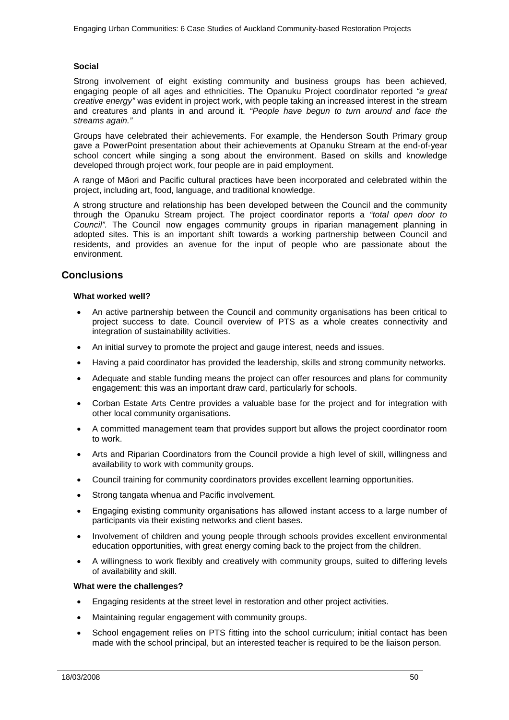### **Social**

Strong involvement of eight existing community and business groups has been achieved, engaging people of all ages and ethnicities. The Opanuku Project coordinator reported *"a great creative energy"* was evident in project work, with people taking an increased interest in the stream and creatures and plants in and around it. *"People have begun to turn around and face the streams again."*

Groups have celebrated their achievements. For example, the Henderson South Primary group gave a PowerPoint presentation about their achievements at Opanuku Stream at the end-of-year school concert while singing a song about the environment. Based on skills and knowledge developed through project work, four people are in paid employment.

A range of Māori and Pacific cultural practices have been incorporated and celebrated within the project, including art, food, language, and traditional knowledge.

A strong structure and relationship has been developed between the Council and the community through the Opanuku Stream project. The project coordinator reports a *"total open door to Council".* The Council now engages community groups in riparian management planning in adopted sites. This is an important shift towards a working partnership between Council and residents, and provides an avenue for the input of people who are passionate about the environment.

### <span id="page-49-0"></span>**Conclusions**

### **What worked well?**

- An active partnership between the Council and community organisations has been critical to project success to date. Council overview of PTS as a whole creates connectivity and integration of sustainability activities.
- An initial survey to promote the project and gauge interest, needs and issues.
- Having a paid coordinator has provided the leadership, skills and strong community networks.
- Adequate and stable funding means the project can offer resources and plans for community engagement: this was an important draw card, particularly for schools.
- Corban Estate Arts Centre provides a valuable base for the project and for integration with other local community organisations.
- A committed management team that provides support but allows the project coordinator room to work.
- Arts and Riparian Coordinators from the Council provide a high level of skill, willingness and availability to work with community groups.
- Council training for community coordinators provides excellent learning opportunities.
- Strong tangata whenua and Pacific involvement.
- Engaging existing community organisations has allowed instant access to a large number of participants via their existing networks and client bases.
- Involvement of children and young people through schools provides excellent environmental education opportunities, with great energy coming back to the project from the children.
- A willingness to work flexibly and creatively with community groups, suited to differing levels of availability and skill.

### **What were the challenges?**

- Engaging residents at the street level in restoration and other project activities.
- Maintaining regular engagement with community groups.
- School engagement relies on PTS fitting into the school curriculum; initial contact has been made with the school principal, but an interested teacher is required to be the liaison person.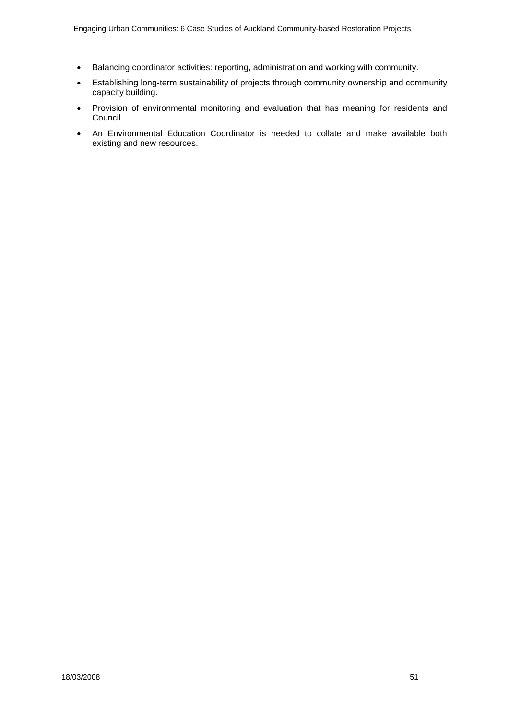- Balancing coordinator activities: reporting, administration and working with community.
- Establishing long-term sustainability of projects through community ownership and community capacity building.
- Provision of environmental monitoring and evaluation that has meaning for residents and Council.
- An Environmental Education Coordinator is needed to collate and make available both existing and new resources.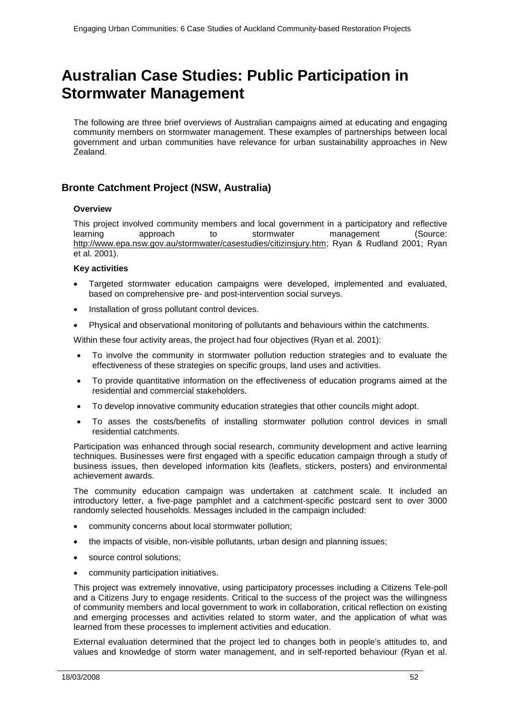# <span id="page-51-0"></span>**Australian Case Studies: Public Participation in Stormwater Management**

The following are three brief overviews of Australian campaigns aimed at educating and engaging community members on stormwater management. These examples of partnerships between local government and urban communities have relevance for urban sustainability approaches in New Zealand.

## <span id="page-51-1"></span>**Bronte Catchment Project (NSW, Australia)**

### **Overview**

This project involved community members and local government in a participatory and reflective<br>learning approach to stormwater management (Source: learning approach to stormwater management http://www.epa.nsw.gov.au/stormwater/casestudies/citizinsjury.htm; Ryan & Rudland 2001; Ryan et al. 2001).

### **Key activities**

- Targeted stormwater education campaigns were developed, implemented and evaluated, based on comprehensive pre- and post-intervention social surveys.
- Installation of gross pollutant control devices.
- Physical and observational monitoring of pollutants and behaviours within the catchments.

Within these four activity areas, the project had four objectives (Ryan et al. 2001):

- To involve the community in stormwater pollution reduction strategies and to evaluate the effectiveness of these strategies on specific groups, land uses and activities.
- To provide quantitative information on the effectiveness of education programs aimed at the residential and commercial stakeholders.
- To develop innovative community education strategies that other councils might adopt.
- To asses the costs/benefits of installing stormwater pollution control devices in small residential catchments.

Participation was enhanced through social research, community development and active learning techniques. Businesses were first engaged with a specific education campaign through a study of business issues, then developed information kits (leaflets, stickers, posters) and environmental achievement awards.

The community education campaign was undertaken at catchment scale. It included an introductory letter, a five-page pamphlet and a catchment-specific postcard sent to over 3000 randomly selected households. Messages included in the campaign included:

- community concerns about local stormwater pollution;
- the impacts of visible, non-visible pollutants, urban design and planning issues;
- source control solutions;
- community participation initiatives.

This project was extremely innovative, using participatory processes including a Citizens Tele-poll and a Citizens Jury to engage residents. Critical to the success of the project was the willingness of community members and local government to work in collaboration, critical reflection on existing and emerging processes and activities related to storm water, and the application of what was learned from these processes to implement activities and education.

External evaluation determined that the project led to changes both in people's attitudes to, and values and knowledge of storm water management, and in self-reported behaviour (Ryan et al.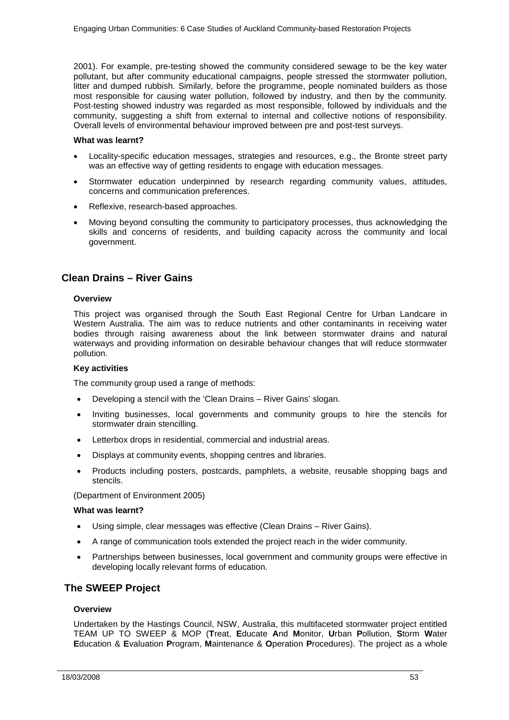2001). For example, pre-testing showed the community considered sewage to be the key water pollutant, but after community educational campaigns, people stressed the stormwater pollution, litter and dumped rubbish. Similarly, before the programme, people nominated builders as those most responsible for causing water pollution, followed by industry, and then by the community. Post-testing showed industry was regarded as most responsible, followed by individuals and the community, suggesting a shift from external to internal and collective notions of responsibility. Overall levels of environmental behaviour improved between pre and post-test surveys.

### **What was learnt?**

- Locality-specific education messages, strategies and resources, e.g., the Bronte street party was an effective way of getting residents to engage with education messages.
- Stormwater education underpinned by research regarding community values, attitudes, concerns and communication preferences.
- Reflexive, research-based approaches.
- Moving beyond consulting the community to participatory processes, thus acknowledging the skills and concerns of residents, and building capacity across the community and local government.

## <span id="page-52-0"></span>**Clean Drains – River Gains**

### **Overview**

This project was organised through the South East Regional Centre for Urban Landcare in Western Australia. The aim was to reduce nutrients and other contaminants in receiving water bodies through raising awareness about the link between stormwater drains and natural waterways and providing information on desirable behaviour changes that will reduce stormwater pollution.

### **Key activities**

The community group used a range of methods:

- Developing a stencil with the 'Clean Drains River Gains' slogan.
- Inviting businesses, local governments and community groups to hire the stencils for stormwater drain stencilling.
- Letterbox drops in residential, commercial and industrial areas.
- Displays at community events, shopping centres and libraries.
- Products including posters, postcards, pamphlets, a website, reusable shopping bags and stencils.

(Department of Environment 2005)

### **What was learnt?**

- Using simple, clear messages was effective (Clean Drains River Gains).
- A range of communication tools extended the project reach in the wider community.
- Partnerships between businesses, local government and community groups were effective in developing locally relevant forms of education.

### <span id="page-52-1"></span>**The SWEEP Project**

### **Overview**

Undertaken by the Hastings Council, NSW, Australia, this multifaceted stormwater project entitled TEAM UP TO SWEEP & MOP (**T**reat, **E**ducate **A**nd **M**onitor, **U**rban **P**ollution, **S**torm **W**ater **E**ducation & **E**valuation **P**rogram, **M**aintenance & **O**peration **P**rocedures). The project as a whole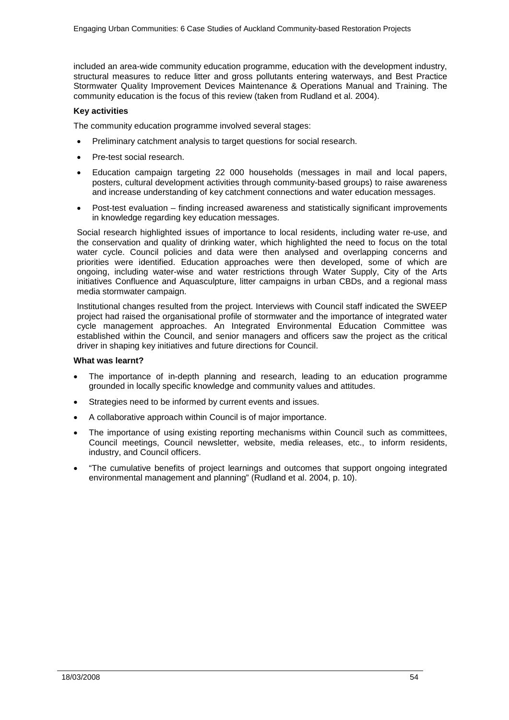included an area-wide community education programme, education with the development industry, structural measures to reduce litter and gross pollutants entering waterways, and Best Practice Stormwater Quality Improvement Devices Maintenance & Operations Manual and Training. The community education is the focus of this review (taken from Rudland et al. 2004).

### **Key activities**

The community education programme involved several stages:

- Preliminary catchment analysis to target questions for social research.
- Pre-test social research.
- Education campaign targeting 22 000 households (messages in mail and local papers, posters, cultural development activities through community-based groups) to raise awareness and increase understanding of key catchment connections and water education messages.
- Post-test evaluation finding increased awareness and statistically significant improvements in knowledge regarding key education messages.

Social research highlighted issues of importance to local residents, including water re-use, and the conservation and quality of drinking water, which highlighted the need to focus on the total water cycle. Council policies and data were then analysed and overlapping concerns and priorities were identified. Education approaches were then developed, some of which are ongoing, including water-wise and water restrictions through Water Supply, City of the Arts initiatives Confluence and Aquasculpture, litter campaigns in urban CBDs, and a regional mass media stormwater campaign.

Institutional changes resulted from the project. Interviews with Council staff indicated the SWEEP project had raised the organisational profile of stormwater and the importance of integrated water cycle management approaches. An Integrated Environmental Education Committee was established within the Council, and senior managers and officers saw the project as the critical driver in shaping key initiatives and future directions for Council.

### **What was learnt?**

- The importance of in-depth planning and research, leading to an education programme grounded in locally specific knowledge and community values and attitudes.
- Strategies need to be informed by current events and issues.
- A collaborative approach within Council is of major importance.
- The importance of using existing reporting mechanisms within Council such as committees, Council meetings, Council newsletter, website, media releases, etc., to inform residents, industry, and Council officers.
- "The cumulative benefits of project learnings and outcomes that support ongoing integrated environmental management and planning" (Rudland et al. 2004, p. 10).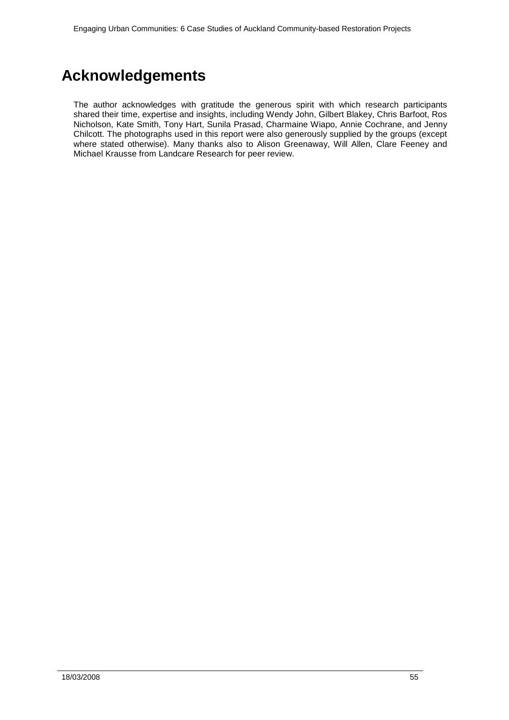# <span id="page-54-0"></span>**Acknowledgements**

The author acknowledges with gratitude the generous spirit with which research participants shared their time, expertise and insights, including Wendy John, Gilbert Blakey, Chris Barfoot, Ros Nicholson, Kate Smith, Tony Hart, Sunila Prasad, Charmaine Wiapo, Annie Cochrane, and Jenny Chilcott. The photographs used in this report were also generously supplied by the groups (except where stated otherwise). Many thanks also to Alison Greenaway, Will Allen, Clare Feeney and Michael Krausse from Landcare Research for peer review.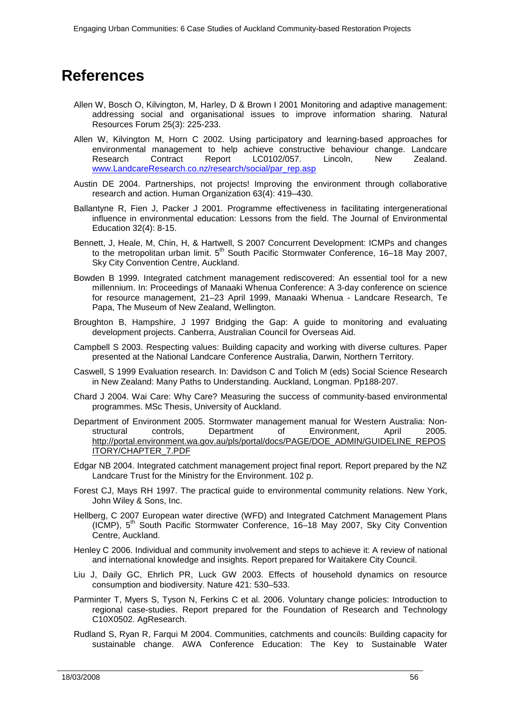# <span id="page-55-0"></span>**References**

- Allen W, Bosch O, Kilvington, M, Harley, D & Brown I 2001 Monitoring and adaptive management: addressing social and organisational issues to improve information sharing*.* Natural Resources Forum 25(3): 225-233.
- Allen W, Kilvington M, Horn C 2002. Using participatory and learning-based approaches for environmental management to help achieve constructive behaviour change. Landcare<br>Research Contract Report LC0102/057. Lincoln, New Zealand. LC0102/057. [www.LandcareResearch.co.nz/research/social/par\\_rep.asp](http://www.landcareresearch.co.nz/research/social/par_rep.asp)
- Austin DE 2004. Partnerships, not projects! Improving the environment through collaborative research and action. Human Organization 63(4): 419–430.
- Ballantyne R, Fien J, Packer J 2001. Programme effectiveness in facilitating intergenerational influence in environmental education: Lessons from the field. The Journal of Environmental Education 32(4): 8-15.
- Bennett, J, Heale, M, Chin, H, & Hartwell, S 2007 Concurrent Development: ICMPs and changes to the metropolitan urban limit.  $5<sup>th</sup>$  South Pacific Stormwater Conference, 16–18 May 2007, Sky City Convention Centre, Auckland.
- Bowden B 1999. Integrated catchment management rediscovered: An essential tool for a new millennium. In: Proceedings of Manaaki Whenua Conference: A 3-day conference on science for resource management, 21–23 April 1999, Manaaki Whenua - Landcare Research, Te Papa, The Museum of New Zealand, Wellington.
- Broughton B, Hampshire, J 1997 Bridging the Gap: A guide to monitoring and evaluating development projects. Canberra, Australian Council for Overseas Aid.
- Campbell S 2003. Respecting values: Building capacity and working with diverse cultures. Paper presented at the National Landcare Conference Australia, Darwin, Northern Territory.
- Caswell, S 1999 Evaluation research. In: Davidson C and Tolich M (eds) Social Science Research in New Zealand: Many Paths to Understanding. Auckland, Longman. Pp188-207.
- Chard J 2004. Wai Care: Why Care? Measuring the success of community-based environmental programmes. MSc Thesis, University of Auckland.
- Department of Environment 2005. Stormwater management manual for Western Australia: Nonstructural controls, Department of Environment, April 2005. http://portal.environment.wa.gov.au/pls/portal/docs/PAGE/DOE\_ADMIN/GUIDELINE\_REPOS ITORY/CHAPTER\_7.PDF
- Edgar NB 2004. Integrated catchment management project final report. Report prepared by the NZ Landcare Trust for the Ministry for the Environment. 102 p.
- Forest CJ, Mays RH 1997. The practical guide to environmental community relations. New York, John Wiley & Sons, Inc.
- Hellberg, C 2007 European water directive (WFD) and Integrated Catchment Management Plans (ICMP),  $5<sup>th</sup>$  South Pacific Stormwater Conference, 16–18 May 2007, Sky City Convention Centre, Auckland.
- Henley C 2006. Individual and community involvement and steps to achieve it: A review of national and international knowledge and insights. Report prepared for Waitakere City Council.
- Liu J, Daily GC, Ehrlich PR, Luck GW 2003. Effects of household dynamics on resource consumption and biodiversity. Nature 421: 530–533.
- Parminter T, Myers S, Tyson N, Ferkins C et al. 2006. Voluntary change policies: Introduction to regional case-studies. Report prepared for the Foundation of Research and Technology C10X0502. AgResearch.
- Rudland S, Ryan R, Farqui M 2004. Communities, catchments and councils: Building capacity for sustainable change. AWA Conference Education: The Key to Sustainable Water